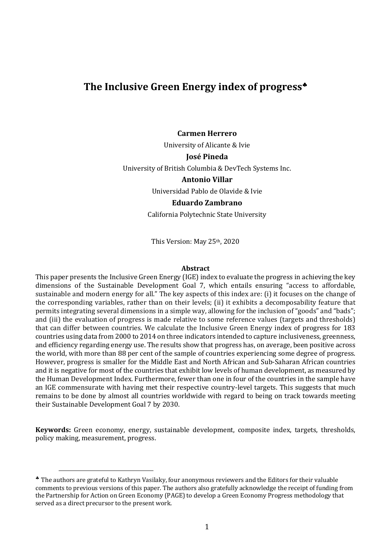## The Inclusive Green Energy index of progress<sup>\*</sup>

#### **Carmen Herrero**

University of Alicante & Ivie

#### **José Pineda**

University of British Columbia & DevTech Systems Inc.

#### **Antonio Villar**

Universidad Pablo de Olavide & Ivie

#### **Eduardo Zambrano**

California Polytechnic State University

This Version: May 25th, 2020

#### **Abstract**

This paper presents the Inclusive Green Energy (IGE) index to evaluate the progress in achieving the key dimensions of the Sustainable Development Goal 7, which entails ensuring "access to affordable, sustainable and modern energy for all." The key aspects of this index are: (i) it focuses on the change of the corresponding variables, rather than on their levels; (ii) it exhibits a decomposability feature that permits integrating several dimensions in a simple way, allowing for the inclusion of "goods" and "bads"; and (iii) the evaluation of progress is made relative to some reference values (targets and thresholds) that can differ between countries. We calculate the Inclusive Green Energy index of progress for 183 countries using data from 2000 to 2014 on three indicators intended to capture inclusiveness, greenness, and efficiency regarding energy use. The results show that progress has, on average, been positive across the world, with more than 88 per cent of the sample of countries experiencing some degree of progress. However, progress is smaller for the Middle East and North African and Sub-Saharan African countries and it is negative for most of the countries that exhibit low levels of human development, as measured by the Human Development Index. Furthermore, fewer than one in four of the countries in the sample have an IGE commensurate with having met their respective country-level targets. This suggests that much remains to be done by almost all countries worldwide with regard to being on track towards meeting their Sustainable Development Goal 7 by 2030.

**Keywords:** Green economy, energy, sustainable development, composite index, targets, thresholds, policy making, measurement, progress.

<sup>\*</sup> The authors are grateful to Kathryn Vasilaky, four anonymous reviewers and the Editors for their valuable comments to previous versions of this paper. The authors also gratefully acknowledge the receipt of funding from the Partnership for Action on Green Economy (PAGE) to develop a Green Economy Progress methodology that served as a direct precursor to the present work.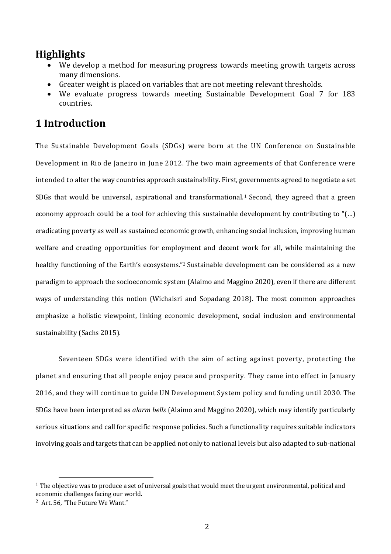## **Highlights**

- We develop a method for measuring progress towards meeting growth targets across many dimensions.
- Greater weight is placed on variables that are not meeting relevant thresholds.
- We evaluate progress towards meeting Sustainable Development Goal 7 for 183 countries.

# **1 Introduction**

The Sustainable Development Goals (SDGs) were born at the UN Conference on Sustainable Development in Rio de Janeiro in June 2012. The two main agreements of that Conference were intended to alter the way countries approach sustainability. First, governments agreed to negotiate a set SDGs that would be universal, aspirational and transformational.<sup>1</sup> Second, they agreed that a green economy approach could be a tool for achieving this sustainable development by contributing to "(...) eradicating poverty as well as sustained economic growth, enhancing social inclusion, improving human welfare and creating opportunities for employment and decent work for all, while maintaining the healthy functioning of the Earth's ecosystems."<sup>2</sup> Sustainable development can be considered as a new paradigm to approach the socioeconomic system (Alaimo and Maggino 2020), even if there are different ways of understanding this notion (Wichaisri and Sopadang 2018). The most common approaches emphasize a holistic viewpoint, linking economic development, social inclusion and environmental sustainability (Sachs 2015).

Seventeen SDGs were identified with the aim of acting against poverty, protecting the planet and ensuring that all people enjoy peace and prosperity. They came into effect in January 2016, and they will continue to guide UN Development System policy and funding until 2030. The SDGs have been interpreted as *alarm bells* (Alaimo and Maggino 2020), which may identify particularly serious situations and call for specific response policies. Such a functionality requires suitable indicators involving goals and targets that can be applied not only to national levels but also adapted to sub-national

 $1$  The objective was to produce a set of universal goals that would meet the urgent environmental, political and economic challenges facing our world.

<sup>&</sup>lt;sup>2</sup> Art. 56, "The Future We Want."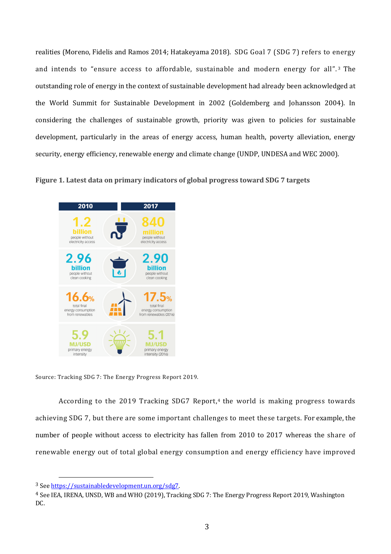realities (Moreno, Fidelis and Ramos 2014; Hatakeyama 2018). SDG Goal 7 (SDG 7) refers to energy and intends to "ensure access to affordable, sustainable and modern energy for all".<sup>3</sup> The outstanding role of energy in the context of sustainable development had already been acknowledged at the World Summit for Sustainable Development in 2002 (Goldemberg and Johansson 2004). In considering the challenges of sustainable growth, priority was given to policies for sustainable development, particularly in the areas of energy access, human health, poverty alleviation, energy security, energy efficiency, renewable energy and climate change (UNDP, UNDESA and WEC 2000).

Figure 1. Latest data on primary indicators of global progress toward SDG 7 targets



Source: Tracking SDG 7: The Energy Progress Report 2019.

According to the 2019 Tracking SDG7 Report,<sup>4</sup> the world is making progress towards achieving SDG 7, but there are some important challenges to meet these targets. For example, the number of people without access to electricity has fallen from 2010 to 2017 whereas the share of renewable energy out of total global energy consumption and energy efficiency have improved

<sup>3</sup> See https://sustainabledevelopment.un.org/sdg7. 

<sup>&</sup>lt;sup>4</sup> See IEA, IRENA, UNSD, WB and WHO (2019), Tracking SDG 7: The Energy Progress Report 2019, Washington DC.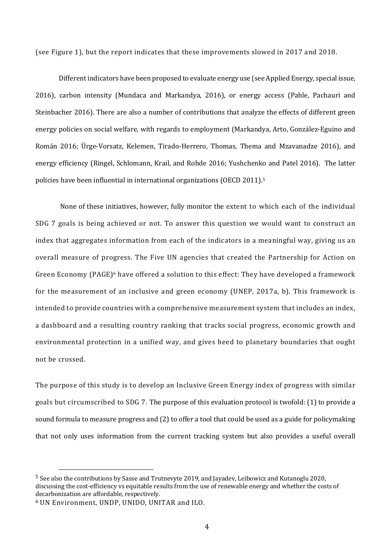(see Figure 1), but the report indicates that these improvements slowed in 2017 and 2018.

Different indicators have been proposed to evaluate energy use (see Applied Energy, special issue, 2016), carbon intensity (Mundaca and Markandya, 2016), or energy access (Pahle, Pachauri and Steinbacher 2016). There are also a number of contributions that analyze the effects of different green energy policies on social welfare, with regards to employment (Markandya, Arto, González-Eguino and Román 2016; Ürge-Vorsatz, Kelemen, Tirado-Herrero, Thomas, Thema and Mzavanadze 2016), and energy efficiency (Ringel, Schlomann, Krail, and Rohde 2016; Yushchenko and Patel 2016). The latter policies have been influential in international organizations (OECD 2011).<sup>5</sup>

None of these initiatives, however, fully monitor the extent to which each of the individual SDG 7 goals is being achieved or not. To answer this question we would want to construct an index that aggregates information from each of the indicators in a meaningful way, giving us an overall measure of progress. The Five UN agencies that created the Partnership for Action on Green Economy  $(PAGE)^6$  have offered a solution to this effect: They have developed a framework for the measurement of an inclusive and green economy (UNEP, 2017a, b). This framework is intended to provide countries with a comprehensive measurement system that includes an index, a dashboard and a resulting country ranking that tracks social progress, economic growth and environmental protection in a unified way, and gives heed to planetary boundaries that ought not be crossed.

The purpose of this study is to develop an Inclusive Green Energy index of progress with similar goals but circumscribed to SDG 7. The purpose of this evaluation protocol is twofold: (1) to provide a sound formula to measure progress and (2) to offer a tool that could be used as a guide for policymaking that not only uses information from the current tracking system but also provides a useful overall

<sup>&</sup>lt;sup>5</sup> See also the contributions by Sasse and Trutnevyte 2019, and Jayadev, Leibowicz and Kutanoglu 2020, discussing the cost-efficiency vs equitable results from the use of renewable energy and whether the costs of decarbonization are affordable, respectively.

 $6$  UN Environment, UNDP, UNIDO, UNITAR and ILO.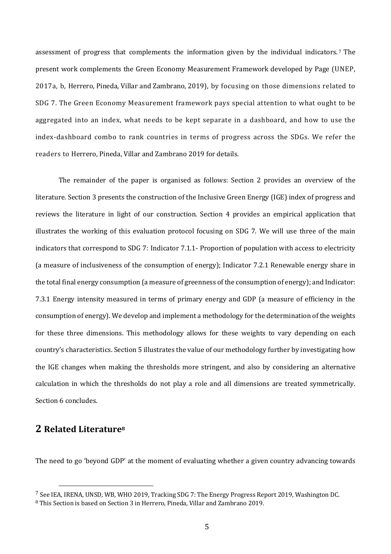assessment of progress that complements the information given by the individual indicators.<sup>7</sup> The present work complements the Green Economy Measurement Framework developed by Page (UNEP, 2017a, b, Herrero, Pineda, Villar and Zambrano, 2019), by focusing on those dimensions related to SDG 7. The Green Economy Measurement framework pays special attention to what ought to be aggregated into an index, what needs to be kept separate in a dashboard, and how to use the index-dashboard combo to rank countries in terms of progress across the SDGs. We refer the readers to Herrero, Pineda, Villar and Zambrano 2019 for details.

The remainder of the paper is organised as follows: Section 2 provides an overview of the literature. Section 3 presents the construction of the Inclusive Green Energy (IGE) index of progress and reviews the literature in light of our construction. Section 4 provides an empirical application that illustrates the working of this evaluation protocol focusing on SDG 7. We will use three of the main indicators that correspond to SDG 7: Indicator 7.1.1- Proportion of population with access to electricity (a measure of inclusiveness of the consumption of energy); Indicator 7.2.1 Renewable energy share in the total final energy consumption (a measure of greenness of the consumption of energy); and Indicator: 7.3.1 Energy intensity measured in terms of primary energy and GDP (a measure of efficiency in the consumption of energy). We develop and implement a methodology for the determination of the weights for these three dimensions. This methodology allows for these weights to vary depending on each country's characteristics. Section 5 illustrates the value of our methodology further by investigating how the IGE changes when making the thresholds more stringent, and also by considering an alternative calculation in which the thresholds do not play a role and all dimensions are treated symmetrically. Section 6 concludes.

### **2 Related Literature8**

The need to go 'beyond GDP' at the moment of evaluating whether a given country advancing towards

 $^7$  See IEA, IRENA, UNSD, WB, WHO 2019, Tracking SDG 7: The Energy Progress Report 2019, Washington DC.

<sup>&</sup>lt;sup>8</sup> This Section is based on Section 3 in Herrero, Pineda, Villar and Zambrano 2019.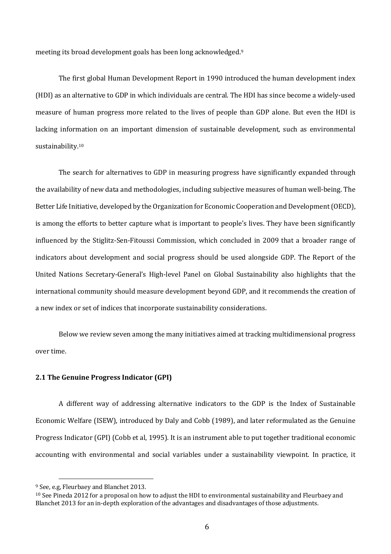meeting its broad development goals has been long acknowledged.<sup>9</sup>

The first global Human Development Report in 1990 introduced the human development index (HDI) as an alternative to GDP in which individuals are central. The HDI has since become a widely-used measure of human progress more related to the lives of people than GDP alone. But even the HDI is lacking information on an important dimension of sustainable development, such as environmental sustainability.10

The search for alternatives to GDP in measuring progress have significantly expanded through the availability of new data and methodologies, including subjective measures of human well-being. The Better Life Initiative, developed by the Organization for Economic Cooperation and Development (OECD), is among the efforts to better capture what is important to people's lives. They have been significantly influenced by the Stiglitz-Sen-Fitoussi Commission, which concluded in 2009 that a broader range of indicators about development and social progress should be used alongside GDP. The Report of the United Nations Secretary-General's High-level Panel on Global Sustainability also highlights that the international community should measure development beyond GDP, and it recommends the creation of a new index or set of indices that incorporate sustainability considerations.

Below we review seven among the many initiatives aimed at tracking multidimensional progress over time.

#### **2.1 The Genuine Progress Indicator (GPI)**

A different way of addressing alternative indicators to the GDP is the Index of Sustainable Economic Welfare (ISEW), introduced by Daly and Cobb (1989), and later reformulated as the Genuine Progress Indicator (GPI) (Cobb et al, 1995). It is an instrument able to put together traditional economic accounting with environmental and social variables under a sustainability viewpoint. In practice, it

<sup>&</sup>lt;sup>9</sup> See, e.g, Fleurbaey and Blanchet 2013.

<sup>&</sup>lt;sup>10</sup> See Pineda 2012 for a proposal on how to adjust the HDI to environmental sustainability and Fleurbaey and Blanchet 2013 for an in-depth exploration of the advantages and disadvantages of those adjustments.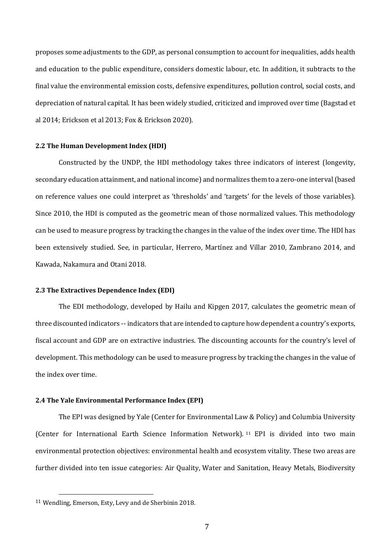proposes some adjustments to the GDP, as personal consumption to account for inequalities, adds health and education to the public expenditure, considers domestic labour, etc. In addition, it subtracts to the final value the environmental emission costs, defensive expenditures, pollution control, social costs, and depreciation of natural capital. It has been widely studied, criticized and improved over time (Bagstad et al 2014: Erickson et al 2013: Fox & Erickson 2020).

#### **2.2 The Human Development Index (HDI)**

Constructed by the UNDP, the HDI methodology takes three indicators of interest (longevity, secondary education attainment, and national income) and normalizes them to a zero-one interval (based on reference values one could interpret as 'thresholds' and 'targets' for the levels of those variables). Since 2010, the HDI is computed as the geometric mean of those normalized values. This methodology can be used to measure progress by tracking the changes in the value of the index over time. The HDI has been extensively studied. See, in particular, Herrero, Martínez and Villar 2010, Zambrano 2014, and Kawada, Nakamura and Otani 2018.

#### **2.3 The Extractives Dependence Index (EDI)**

The EDI methodology, developed by Hailu and Kipgen 2017, calculates the geometric mean of three discounted indicators -- indicators that are intended to capture how dependent a country's exports, fiscal account and GDP are on extractive industries. The discounting accounts for the country's level of development. This methodology can be used to measure progress by tracking the changes in the value of the index over time.

#### **2.4 The Yale Environmental Performance Index (EPI)**

The EPI was designed by Yale (Center for Environmental Law & Policy) and Columbia University (Center for International Earth Science Information Network). <sup>11</sup> EPI is divided into two main environmental protection objectives: environmental health and ecosystem vitality. These two areas are further divided into ten issue categories: Air Quality, Water and Sanitation, Heavy Metals, Biodiversity

<sup>&</sup>lt;sup>11</sup> Wendling, Emerson, Esty, Levy and de Sherbinin 2018.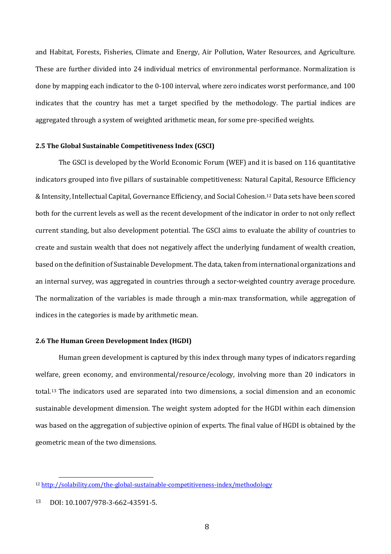and Habitat, Forests, Fisheries, Climate and Energy, Air Pollution, Water Resources, and Agriculture. These are further divided into 24 individual metrics of environmental performance. Normalization is done by mapping each indicator to the 0-100 interval, where zero indicates worst performance, and 100 indicates that the country has met a target specified by the methodology. The partial indices are aggregated through a system of weighted arithmetic mean, for some pre-specified weights.

#### **2.5 The Global Sustainable Competitiveness Index (GSCI)**

The GSCI is developed by the World Economic Forum (WEF) and it is based on 116 quantitative indicators grouped into five pillars of sustainable competitiveness: Natural Capital, Resource Efficiency & Intensity, Intellectual Capital, Governance Efficiency, and Social Cohesion.<sup>12</sup> Data sets have been scored both for the current levels as well as the recent development of the indicator in order to not only reflect current standing, but also development potential. The GSCI aims to evaluate the ability of countries to create and sustain wealth that does not negatively affect the underlying fundament of wealth creation, based on the definition of Sustainable Development. The data, taken from international organizations and an internal survey, was aggregated in countries through a sector-weighted country average procedure. The normalization of the variables is made through a min-max transformation, while aggregation of indices in the categories is made by arithmetic mean.

#### **2.6 The Human Green Development Index (HGDI)**

Human green development is captured by this index through many types of indicators regarding welfare, green economy, and environmental/resource/ecology, involving more than 20 indicators in total.<sup>13</sup> The indicators used are separated into two dimensions, a social dimension and an economic sustainable development dimension. The weight system adopted for the HGDI within each dimension was based on the aggregation of subjective opinion of experts. The final value of HGDI is obtained by the geometric mean of the two dimensions.

<sup>12</sup> http://solability.com/the-global-sustainable-competitiveness-index/methodology

<sup>13</sup> DOI: 10.1007/978-3-662-43591-5.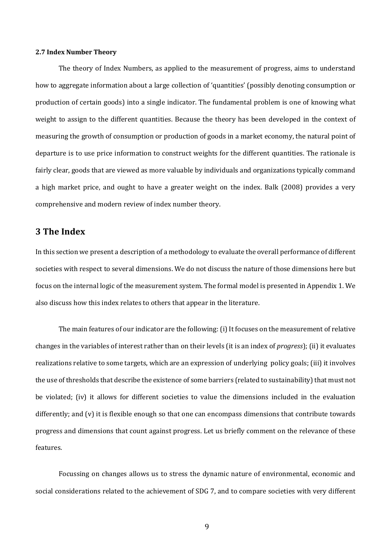#### **2.7 Index Number Theory**

The theory of Index Numbers, as applied to the measurement of progress, aims to understand how to aggregate information about a large collection of 'quantities' (possibly denoting consumption or production of certain goods) into a single indicator. The fundamental problem is one of knowing what weight to assign to the different quantities. Because the theory has been developed in the context of measuring the growth of consumption or production of goods in a market economy, the natural point of departure is to use price information to construct weights for the different quantities. The rationale is fairly clear, goods that are viewed as more valuable by individuals and organizations typically command a high market price, and ought to have a greater weight on the index. Balk (2008) provides a very comprehensive and modern review of index number theory.

### **3 The Index**

In this section we present a description of a methodology to evaluate the overall performance of different societies with respect to several dimensions. We do not discuss the nature of those dimensions here but focus on the internal logic of the measurement system. The formal model is presented in Appendix 1. We also discuss how this index relates to others that appear in the literature.

The main features of our indicator are the following: (i) It focuses on the measurement of relative changes in the variables of interest rather than on their levels (it is an index of *progress*); (ii) it evaluates realizations relative to some targets, which are an expression of underlying policy goals; (iii) it involves the use of thresholds that describe the existence of some barriers (related to sustainability) that must not be violated; (iv) it allows for different societies to value the dimensions included in the evaluation differently; and  $(v)$  it is flexible enough so that one can encompass dimensions that contribute towards progress and dimensions that count against progress. Let us briefly comment on the relevance of these features.

Focussing on changes allows us to stress the dynamic nature of environmental, economic and social considerations related to the achievement of SDG 7, and to compare societies with very different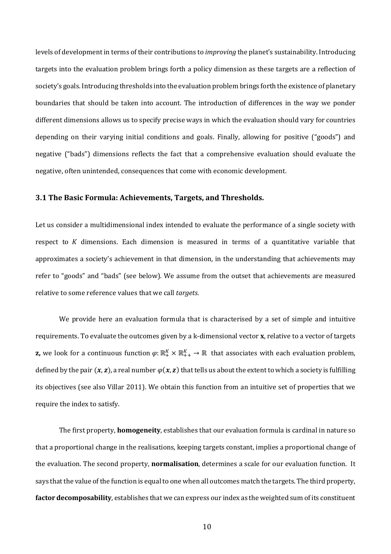levels of development in terms of their contributions to *improving* the planet's sustainability. Introducing targets into the evaluation problem brings forth a policy dimension as these targets are a reflection of society's goals. Introducing thresholds into the evaluation problem brings forth the existence of planetary boundaries that should be taken into account. The introduction of differences in the way we ponder different dimensions allows us to specify precise ways in which the evaluation should vary for countries depending on their varying initial conditions and goals. Finally, allowing for positive ("goods") and negative ("bads") dimensions reflects the fact that a comprehensive evaluation should evaluate the negative, often unintended, consequences that come with economic development.

#### **3.1 The Basic Formula: Achievements, Targets, and Thresholds.**

Let us consider a multidimensional index intended to evaluate the performance of a single society with respect to K dimensions. Each dimension is measured in terms of a quantitative variable that approximates a society's achievement in that dimension, in the understanding that achievements may refer to "goods" and "bads" (see below). We assume from the outset that achievements are measured relative to some reference values that we call *targets*.

We provide here an evaluation formula that is characterised by a set of simple and intuitive requirements. To evaluate the outcomes given by a k-dimensional vector **x**, relative to a vector of targets **z,** we look for a continuous function  $\varphi$ : ℝ ī  $\mathbb{R}^K_+$  → ℝ that associates with each evaluation problem, defined by the pair  $(x, z)$ , a real number  $\varphi(x, z)$  that tells us about the extent to which a society is fulfilling its objectives (see also Villar 2011). We obtain this function from an intuitive set of properties that we require the index to satisfy.

The first property, **homogeneity**, establishes that our evaluation formula is cardinal in nature so that a proportional change in the realisations, keeping targets constant, implies a proportional change of the evaluation. The second property, **normalisation**, determines a scale for our evaluation function. It says that the value of the function is equal to one when all outcomes match the targets. The third property, **factor decomposability**, establishes that we can express our index as the weighted sum of its constituent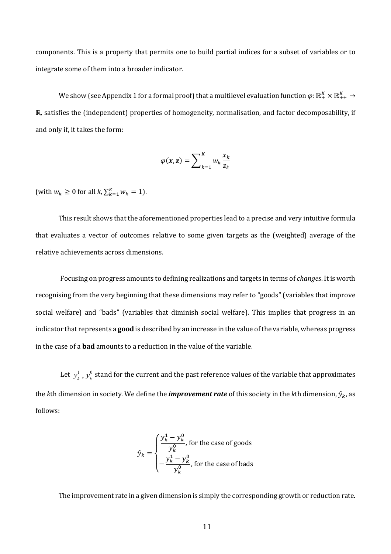components. This is a property that permits one to build partial indices for a subset of variables or to integrate some of them into a broader indicator.

We show (see Appendix 1 for a formal proof) that a multilevel evaluation function  $\varphi\!:\R_+^K\times\R_{++}^K\to$ ℝ, satisfies the (independent) properties of homogeneity, normalisation, and factor decomposability, if and only if, it takes the form:

$$
\varphi(\mathbf{x}, \mathbf{z}) = \sum\nolimits_{k=1}^{K} w_k \frac{x_k}{z_k}
$$

(with  $w_k \ge 0$  for all  $k$ ,  $\sum_{k=1}^{K} w_k = 1$ ).

This result shows that the aforementioned properties lead to a precise and very intuitive formula that evaluates a vector of outcomes relative to some given targets as the (weighted) average of the relative achievements across dimensions.

Focusing on progress amounts to defining realizations and targets in terms of *changes*. It is worth recognising from the very beginning that these dimensions may refer to "goods" (variables that improve social welfare) and "bads" (variables that diminish social welfare). This implies that progress in an indicator that represents a **good** is described by an increase in the value of the variable, whereas progress in the case of a **bad** amounts to a reduction in the value of the variable.

Let  $y_k^1$  ,  $y_k^0$  stand for the current and the past reference values of the variable that approximates the *k*th dimension in society. We define the *improvement rate* of this society in the *k*th dimension,  $\hat{y}_k$ , as follows: 

$$
\hat{y}_k = \begin{cases} \frac{y_k^1 - y_k^0}{y_k^0}, \text{ for the case of goods} \\ -\frac{y_k^1 - y_k^0}{y_k^0}, \text{ for the case of bads} \end{cases}
$$

The improvement rate in a given dimension is simply the corresponding growth or reduction rate.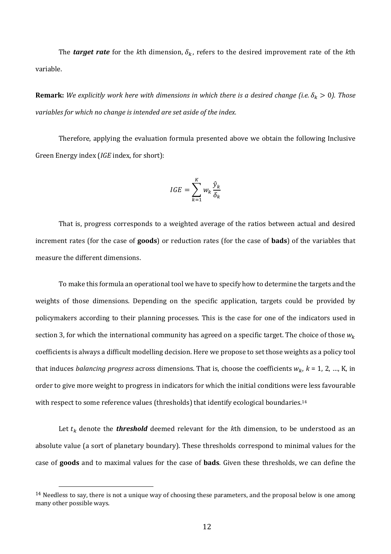The **target rate** for the kth dimension,  $\delta_k$ , refers to the desired improvement rate of the kth variable.

**Remark:** We explicitly work here with dimensions in which there is a desired change (i.e.  $\delta_k > 0$ ). Those *variables for which no change is intended are set aside of the index.* 

Therefore, applying the evaluation formula presented above we obtain the following Inclusive Green Energy index (*IGE* index, for short):

$$
IGE = \sum_{k=1}^{K} w_k \frac{\hat{y}_k}{\delta_k}
$$

That is, progress corresponds to a weighted average of the ratios between actual and desired increment rates (for the case of **goods**) or reduction rates (for the case of **bads**) of the variables that measure the different dimensions.

To make this formula an operational tool we have to specify how to determine the targets and the weights of those dimensions. Depending on the specific application, targets could be provided by policymakers according to their planning processes. This is the case for one of the indicators used in section 3, for which the international community has agreed on a specific target. The choice of those  $w_k$ coefficients is always a difficult modelling decision. Here we propose to set those weights as a policy tool that induces *balancing progress* across dimensions. That is, choose the coefficients  $w_k$ ,  $k = 1, 2, ..., K$ , in order to give more weight to progress in indicators for which the initial conditions were less favourable with respect to some reference values (thresholds) that identify ecological boundaries.<sup>14</sup>

Let  $t_k$  denote the **threshold** deemed relevant for the kth dimension, to be understood as an absolute value (a sort of planetary boundary). These thresholds correspond to minimal values for the case of **goods** and to maximal values for the case of **bads**. Given these thresholds, we can define the

 $14$  Needless to say, there is not a unique way of choosing these parameters, and the proposal below is one among many other possible ways.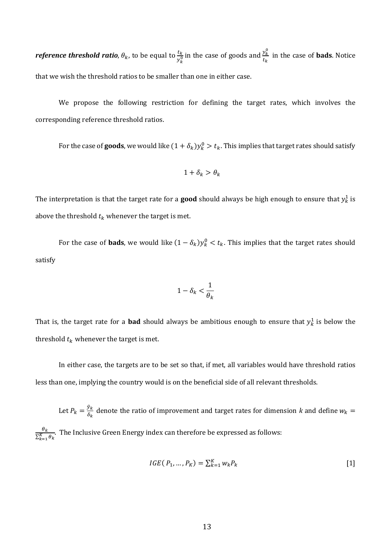$\bm{r}$ efe $\bm{r}$ ence  $\bm{th}$ reshold  $\bm{r}$ atio,  $\theta_k$ , to be equal to  $\frac{t_k}{y_k^0}$  in the case of goods and  $\frac{y_k^0}{t_k}$  $\frac{y_k}{t_k}$  in the case of **bads**. Notice that we wish the threshold ratios to be smaller than one in either case.

We propose the following restriction for defining the target rates, which involves the corresponding reference threshold ratios.

For the case of **goods**, we would like  $(1 + \delta_k)y^0_k > t_k$ . This implies that target rates should satisfy

$$
1+\delta_k > \theta_k
$$

The interpretation is that the target rate for a **good** should always be high enough to ensure that  $y^1_k$  is above the threshold  $t_k$  whenever the target is met.

For the case of **bads**, we would like  $(1 - \delta_k)y_k^0 < t_k$ . This implies that the target rates should satisfy

$$
1-\delta_k<\frac{1}{\theta_k}
$$

That is, the target rate for a **bad** should always be ambitious enough to ensure that  $y_k^1$  is below the threshold  $t_k$  whenever the target is met.

In either case, the targets are to be set so that, if met, all variables would have threshold ratios less than one, implying the country would is on the beneficial side of all relevant thresholds.

Let  $P_k = \frac{\hat{y}_k}{\delta_k}$  denote the ratio of improvement and target rates for dimension *k* and define  $w_k =$  $\theta_k^{}$  $\frac{v_k}{\Sigma_{k=1}^K \theta_k}$ . The Inclusive Green Energy index can therefore be expressed as follows:

$$
IGE(P_1, ..., P_K) = \sum_{k=1}^{K} w_k P_k
$$
 [1]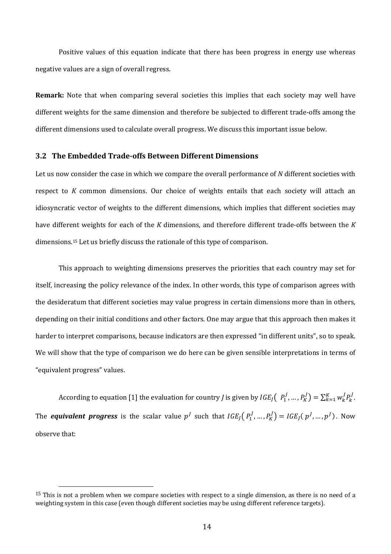Positive values of this equation indicate that there has been progress in energy use whereas negative values are a sign of overall regress.

**Remark:** Note that when comparing several societies this implies that each society may well have different weights for the same dimension and therefore be subjected to different trade-offs among the different dimensions used to calculate overall progress. We discuss this important issue below.

#### **3.2 The Embedded Trade-offs Between Different Dimensions**

Let us now consider the case in which we compare the overall performance of *N* different societies with respect to *K* common dimensions. Our choice of weights entails that each society will attach an idiosyncratic vector of weights to the different dimensions, which implies that different societies may have different weights for each of the *K* dimensions, and therefore different trade-offs between the *K* dimensions.<sup>15</sup> Let us briefly discuss the rationale of this type of comparison.

This approach to weighting dimensions preserves the priorities that each country may set for itself, increasing the policy relevance of the index. In other words, this type of comparison agrees with the desideratum that different societies may value progress in certain dimensions more than in others, depending on their initial conditions and other factors. One may argue that this approach then makes it harder to interpret comparisons, because indicators are then expressed "in different units", so to speak. We will show that the type of comparison we do here can be given sensible interpretations in terms of "equivalent progress" values.

According to equation [1] the evaluation for country *J* is given by  $IGE_j(P_1^J, ..., P_K^J) = \sum_{k=1}^K w_k^J P_k^J$ . The *equivalent progress* is the scalar value  $p^J$  such that  $IGE_j($   $P_1^J,...,P_K^J) = IGE_j($   $p^J,...,p^J)$  . Now observe that:

<sup>&</sup>lt;sup>15</sup> This is not a problem when we compare societies with respect to a single dimension, as there is no need of a weighting system in this case (even though different societies may be using different reference targets).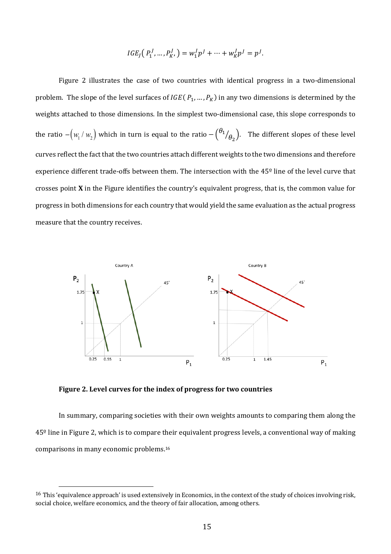$$
IGE_J(P_1^J, ..., P_K^J) = w_1^J p^J + ... + w_K^J p^J = p^J.
$$

Figure 2 illustrates the case of two countries with identical progress in a two-dimensional problem. The slope of the level surfaces of  $IGE(P_1, ..., P_K)$  in any two dimensions is determined by the weights attached to those dimensions. In the simplest two-dimensional case, this slope corresponds to the ratio  $- (w_1/w_2)$  which in turn is equal to the ratio  $- \binom{\theta_1}{\theta_2}$ . The different slopes of these level curves reflect the fact that the two countries attach different weights to the two dimensions and therefore experience different trade-offs between them. The intersection with the  $45^\circ$  line of the level curve that crosses point **X** in the Figure identifies the country's equivalent progress, that is, the common value for progress in both dimensions for each country that would yield the same evaluation as the actual progress measure that the country receives.



Figure 2. Level curves for the index of progress for two countries

In summary, comparing societies with their own weights amounts to comparing them along the 45<sup>o</sup> line in Figure 2, which is to compare their equivalent progress levels, a conventional way of making comparisons in many economic problems.<sup>16</sup>

<sup>&</sup>lt;sup>16</sup> This 'equivalence approach' is used extensively in Economics, in the context of the study of choices involving risk. social choice, welfare economics, and the theory of fair allocation, among others.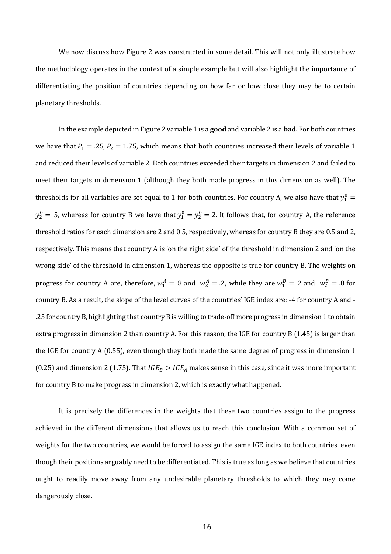We now discuss how Figure 2 was constructed in some detail. This will not only illustrate how the methodology operates in the context of a simple example but will also highlight the importance of differentiating the position of countries depending on how far or how close they may be to certain planetary thresholds.

In the example depicted in Figure 2 variable 1 is a **good** and variable 2 is a **bad**. For both countries we have that  $P_1 = .25$ ,  $P_2 = 1.75$ , which means that both countries increased their levels of variable 1 and reduced their levels of variable 2. Both countries exceeded their targets in dimension 2 and failed to meet their targets in dimension 1 (although they both made progress in this dimension as well). The thresholds for all variables are set equal to 1 for both countries. For country A, we also have that  $y_1^0 =$  $y_2^0 = .5$ , whereas for country B we have that  $y_1^0 = y_2^0 = 2$ . It follows that, for country A, the reference threshold ratios for each dimension are 2 and 0.5, respectively, whereas for country B they are 0.5 and 2, respectively. This means that country A is 'on the right side' of the threshold in dimension 2 and 'on the wrong side' of the threshold in dimension 1, whereas the opposite is true for country B. The weights on progress for country A are, therefore,  $w_1^A = .8$  and  $w_2^A = .2$ , while they are  $w_1^B = .2$  and  $w_2^B = .8$  for country B. As a result, the slope of the level curves of the countries' IGE index are: -4 for country A and -.25 for country B, highlighting that country B is willing to trade-off more progress in dimension 1 to obtain extra progress in dimension 2 than country A. For this reason, the IGE for country B (1.45) is larger than the IGE for country A  $(0.55)$ , even though they both made the same degree of progress in dimension 1 (0.25) and dimension 2 (1.75). That  $IGE_B > IGE_A$  makes sense in this case, since it was more important for country B to make progress in dimension 2, which is exactly what happened.

It is precisely the differences in the weights that these two countries assign to the progress achieved in the different dimensions that allows us to reach this conclusion. With a common set of weights for the two countries, we would be forced to assign the same IGE index to both countries, even though their positions arguably need to be differentiated. This is true as long as we believe that countries ought to readily move away from any undesirable planetary thresholds to which they may come dangerously close.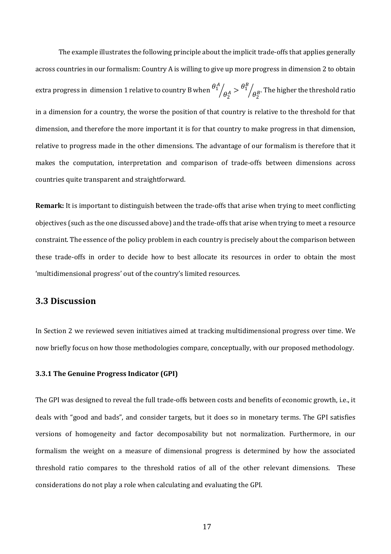The example illustrates the following principle about the implicit trade-offs that applies generally across countries in our formalism: Country A is willing to give up more progress in dimension 2 to obtain extra progress in  $\,\rm d$ imension 1 relative to country B when  $\theta_1^A$  $\int_{\theta_2^A} > \frac{\theta_1^B}{\theta_2^B}$  $\sqrt{\theta_2^{\,B}}$ . The higher the threshold ratio in a dimension for a country, the worse the position of that country is relative to the threshold for that dimension, and therefore the more important it is for that country to make progress in that dimension, relative to progress made in the other dimensions. The advantage of our formalism is therefore that it makes the computation, interpretation and comparison of trade-offs between dimensions across countries quite transparent and straightforward.

**Remark:** It is important to distinguish between the trade-offs that arise when trying to meet conflicting objectives (such as the one discussed above) and the trade-offs that arise when trying to meet a resource constraint. The essence of the policy problem in each country is precisely about the comparison between these trade-offs in order to decide how to best allocate its resources in order to obtain the most 'multidimensional progress' out of the country's limited resources.

### **3.3 Discussion**

In Section 2 we reviewed seven initiatives aimed at tracking multidimensional progress over time. We now briefly focus on how those methodologies compare, conceptually, with our proposed methodology.

#### **3.3.1 The Genuine Progress Indicator (GPI)**

The GPI was designed to reveal the full trade-offs between costs and benefits of economic growth, i.e., it deals with "good and bads", and consider targets, but it does so in monetary terms. The GPI satisfies versions of homogeneity and factor decomposability but not normalization. Furthermore, in our formalism the weight on a measure of dimensional progress is determined by how the associated threshold ratio compares to the threshold ratios of all of the other relevant dimensions. These considerations do not play a role when calculating and evaluating the GPI.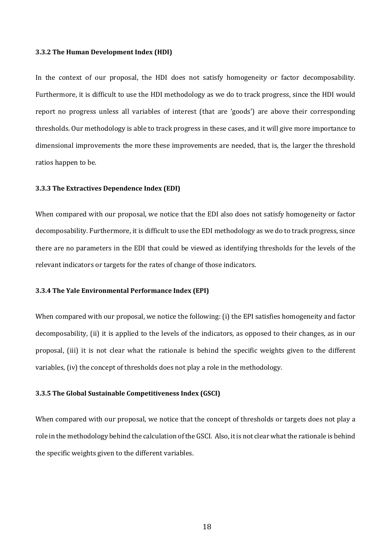#### **3.3.2 The Human Development Index (HDI)**

In the context of our proposal, the HDI does not satisfy homogeneity or factor decomposability. Furthermore, it is difficult to use the HDI methodology as we do to track progress, since the HDI would report no progress unless all variables of interest (that are 'goods') are above their corresponding thresholds. Our methodology is able to track progress in these cases, and it will give more importance to dimensional improvements the more these improvements are needed, that is, the larger the threshold ratios happen to be.

#### **3.3.3** The Extractives Dependence Index (EDI)

When compared with our proposal, we notice that the EDI also does not satisfy homogeneity or factor decomposability. Furthermore, it is difficult to use the EDI methodology as we do to track progress, since there are no parameters in the EDI that could be viewed as identifying thresholds for the levels of the relevant indicators or targets for the rates of change of those indicators.

#### **3.3.4 The Yale Environmental Performance Index (EPI)**

When compared with our proposal, we notice the following: (i) the EPI satisfies homogeneity and factor decomposability, (ii) it is applied to the levels of the indicators, as opposed to their changes, as in our proposal, (iii) it is not clear what the rationale is behind the specific weights given to the different variables,  $(iv)$  the concept of thresholds does not play a role in the methodology.

#### **3.3.5** The Global Sustainable Competitiveness Index (GSCI)

When compared with our proposal, we notice that the concept of thresholds or targets does not play a role in the methodology behind the calculation of the GSCI. Also, it is not clear what the rationale is behind the specific weights given to the different variables.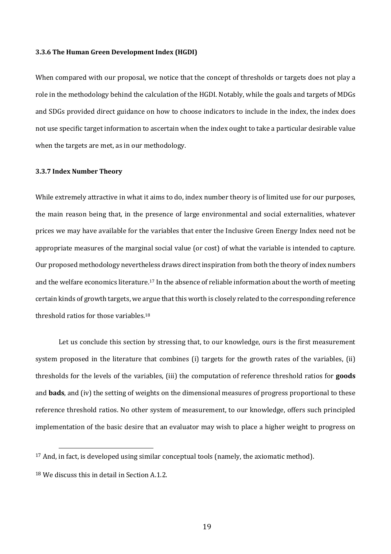#### **3.3.6 The Human Green Development Index (HGDI)**

When compared with our proposal, we notice that the concept of thresholds or targets does not play a role in the methodology behind the calculation of the HGDI. Notably, while the goals and targets of MDGs and SDGs provided direct guidance on how to choose indicators to include in the index, the index does not use specific target information to ascertain when the index ought to take a particular desirable value when the targets are met, as in our methodology.

#### **3.3.7 Index Number Theory**

While extremely attractive in what it aims to do, index number theory is of limited use for our purposes, the main reason being that, in the presence of large environmental and social externalities, whatever prices we may have available for the variables that enter the Inclusive Green Energy Index need not be appropriate measures of the marginal social value (or cost) of what the variable is intended to capture. Our proposed methodology nevertheless draws direct inspiration from both the theory of index numbers and the welfare economics literature.<sup>17</sup> In the absence of reliable information about the worth of meeting certain kinds of growth targets, we argue that this worth is closely related to the corresponding reference threshold ratios for those variables.<sup>18</sup>

Let us conclude this section by stressing that, to our knowledge, ours is the first measurement system proposed in the literature that combines (i) targets for the growth rates of the variables, (ii) thresholds for the levels of the variables, (iii) the computation of reference threshold ratios for **goods** and **bads**, and (iv) the setting of weights on the dimensional measures of progress proportional to these reference threshold ratios. No other system of measurement, to our knowledge, offers such principled implementation of the basic desire that an evaluator may wish to place a higher weight to progress on

 $17$  And, in fact, is developed using similar conceptual tools (namely, the axiomatic method).

 $18$  We discuss this in detail in Section A.1.2.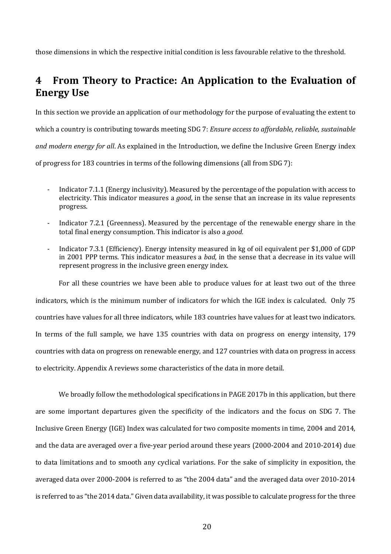those dimensions in which the respective initial condition is less favourable relative to the threshold.

# **4** From Theory to Practice: An Application to the Evaluation of **Energy Use**

In this section we provide an application of our methodology for the purpose of evaluating the extent to which a country is contributing towards meeting SDG 7: *Ensure access to affordable, reliable, sustainable and modern energy for all.* As explained in the Introduction, we define the Inclusive Green Energy index of progress for 183 countries in terms of the following dimensions (all from SDG 7):

- Indicator 7.1.1 (Energy inclusivity). Measured by the percentage of the population with access to electricity. This indicator measures a *good*, in the sense that an increase in its value represents progress.
- Indicator 7.2.1 (Greenness). Measured by the percentage of the renewable energy share in the total final energy consumption. This indicator is also a *good.*
- Indicator 7.3.1 (Efficiency). Energy intensity measured in kg of oil equivalent per \$1,000 of GDP in 2001 PPP terms. This indicator measures a *bad*, in the sense that a decrease in its value will represent progress in the inclusive green energy index.

For all these countries we have been able to produce values for at least two out of the three indicators, which is the minimum number of indicators for which the IGE index is calculated. Only 75 countries have values for all three indicators, while 183 countries have values for at least two indicators. In terms of the full sample, we have 135 countries with data on progress on energy intensity, 179 countries with data on progress on renewable energy, and 127 countries with data on progress in access to electricity. Appendix A reviews some characteristics of the data in more detail.

We broadly follow the methodological specifications in PAGE 2017b in this application, but there are some important departures given the specificity of the indicators and the focus on SDG 7. The Inclusive Green Energy (IGE) Index was calculated for two composite moments in time, 2004 and 2014, and the data are averaged over a five-year period around these years (2000-2004 and 2010-2014) due to data limitations and to smooth any cyclical variations. For the sake of simplicity in exposition, the averaged data over 2000-2004 is referred to as "the 2004 data" and the averaged data over 2010-2014 is referred to as "the 2014 data." Given data availability, it was possible to calculate progress for the three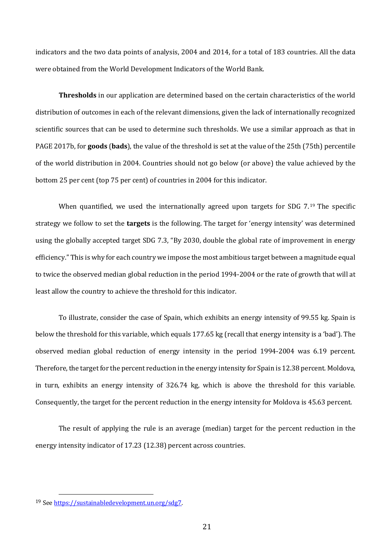indicators and the two data points of analysis, 2004 and 2014, for a total of 183 countries. All the data were obtained from the World Development Indicators of the World Bank.

**Thresholds** in our application are determined based on the certain characteristics of the world distribution of outcomes in each of the relevant dimensions, given the lack of internationally recognized scientific sources that can be used to determine such thresholds. We use a similar approach as that in PAGE 2017b, for **goods** (**bads**), the value of the threshold is set at the value of the 25th (75th) percentile of the world distribution in 2004. Countries should not go below (or above) the value achieved by the bottom 25 per cent (top 75 per cent) of countries in 2004 for this indicator.

When quantified, we used the internationally agreed upon targets for SDG 7.<sup>19</sup> The specific strategy we follow to set the **targets** is the following. The target for 'energy intensity' was determined using the globally accepted target SDG 7.3, "By 2030, double the global rate of improvement in energy efficiency." This is why for each country we impose the most ambitious target between a magnitude equal to twice the observed median global reduction in the period 1994-2004 or the rate of growth that will at least allow the country to achieve the threshold for this indicator.

To illustrate, consider the case of Spain, which exhibits an energy intensity of 99.55 kg. Spain is below the threshold for this variable, which equals 177.65 kg (recall that energy intensity is a 'bad'). The observed median global reduction of energy intensity in the period 1994-2004 was 6.19 percent. Therefore, the target for the percent reduction in the energy intensity for Spain is 12.38 percent. Moldova, in turn, exhibits an energy intensity of  $326.74$  kg, which is above the threshold for this variable. Consequently, the target for the percent reduction in the energy intensity for Moldova is 45.63 percent.

The result of applying the rule is an average (median) target for the percent reduction in the energy intensity indicator of 17.23 (12.38) percent across countries.

<sup>19</sup> See https://sustainabledevelopment.un.org/sdg7.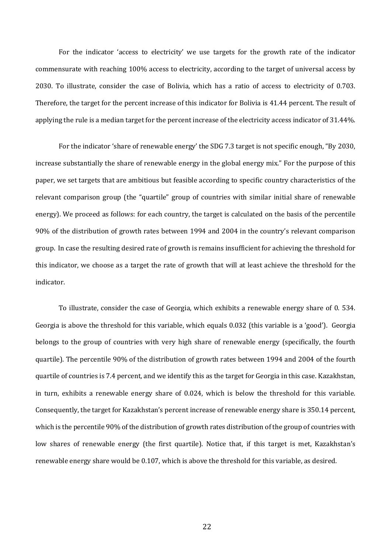For the indicator 'access to electricity' we use targets for the growth rate of the indicator commensurate with reaching 100% access to electricity, according to the target of universal access by 2030. To illustrate, consider the case of Bolivia, which has a ratio of access to electricity of 0.703. Therefore, the target for the percent increase of this indicator for Bolivia is 41.44 percent. The result of applying the rule is a median target for the percent increase of the electricity access indicator of 31.44%.

For the indicator 'share of renewable energy' the SDG 7.3 target is not specific enough, "By 2030, increase substantially the share of renewable energy in the global energy mix." For the purpose of this paper, we set targets that are ambitious but feasible according to specific country characteristics of the relevant comparison group (the "quartile" group of countries with similar initial share of renewable energy). We proceed as follows: for each country, the target is calculated on the basis of the percentile 90% of the distribution of growth rates between 1994 and 2004 in the country's relevant comparison group. In case the resulting desired rate of growth is remains insufficient for achieving the threshold for this indicator, we choose as a target the rate of growth that will at least achieve the threshold for the indicator. 

To illustrate, consider the case of Georgia, which exhibits a renewable energy share of 0. 534. Georgia is above the threshold for this variable, which equals  $0.032$  (this variable is a 'good'). Georgia belongs to the group of countries with very high share of renewable energy (specifically, the fourth quartile). The percentile 90% of the distribution of growth rates between 1994 and 2004 of the fourth quartile of countries is 7.4 percent, and we identify this as the target for Georgia in this case. Kazakhstan, in turn, exhibits a renewable energy share of  $0.024$ , which is below the threshold for this variable. Consequently, the target for Kazakhstan's percent increase of renewable energy share is 350.14 percent, which is the percentile 90% of the distribution of growth rates distribution of the group of countries with low shares of renewable energy (the first quartile). Notice that, if this target is met, Kazakhstan's renewable energy share would be 0.107, which is above the threshold for this variable, as desired.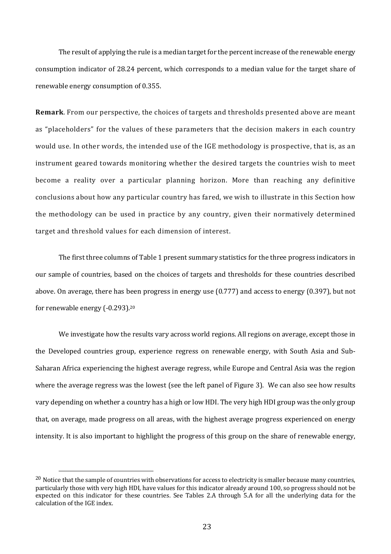The result of applying the rule is a median target for the percent increase of the renewable energy consumption indicator of 28.24 percent, which corresponds to a median value for the target share of renewable energy consumption of 0.355.

**Remark**. From our perspective, the choices of targets and thresholds presented above are meant as "placeholders" for the values of these parameters that the decision makers in each country would use. In other words, the intended use of the IGE methodology is prospective, that is, as an instrument geared towards monitoring whether the desired targets the countries wish to meet become a reality over a particular planning horizon. More than reaching any definitive conclusions about how any particular country has fared, we wish to illustrate in this Section how the methodology can be used in practice by any country, given their normatively determined target and threshold values for each dimension of interest.

The first three columns of Table 1 present summary statistics for the three progress indicators in our sample of countries, based on the choices of targets and thresholds for these countries described above. On average, there has been progress in energy use (0.777) and access to energy (0.397), but not for renewable energy  $(-0.293)$ .<sup>20</sup>

We investigate how the results vary across world regions. All regions on average, except those in the Developed countries group, experience regress on renewable energy, with South Asia and Sub-Saharan Africa experiencing the highest average regress, while Europe and Central Asia was the region where the average regress was the lowest (see the left panel of Figure 3). We can also see how results vary depending on whether a country has a high or low HDI. The very high HDI group was the only group that, on average, made progress on all areas, with the highest average progress experienced on energy intensity. It is also important to highlight the progress of this group on the share of renewable energy,

 $20$  Notice that the sample of countries with observations for access to electricity is smaller because many countries, particularly those with very high HDI, have values for this indicator already around 100, so progress should not be expected on this indicator for these countries. See Tables 2.A through 5.A for all the underlying data for the calculation of the IGE index.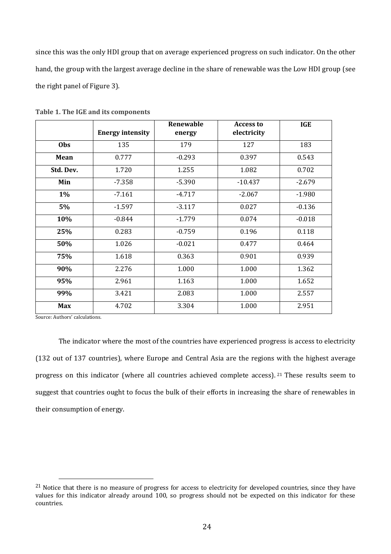since this was the only HDI group that on average experienced progress on such indicator. On the other hand, the group with the largest average decline in the share of renewable was the Low HDI group (see the right panel of Figure 3).

|            | <b>Energy intensity</b> | Renewable<br>energy | <b>Access to</b><br>electricity | <b>IGE</b> |
|------------|-------------------------|---------------------|---------------------------------|------------|
| Obs        | 135                     | 179                 | 127                             | 183        |
| Mean       | 0.777                   | $-0.293$            | 0.397                           | 0.543      |
| Std. Dev.  | 1.720                   | 1.255               | 1.082                           | 0.702      |
| Min        | $-7.358$                | $-5.390$            | $-10.437$                       | $-2.679$   |
| 1%         | $-7.161$                | $-4.717$            | $-2.067$                        | $-1.980$   |
| 5%         | $-1.597$                | $-3.117$            | 0.027                           | $-0.136$   |
| 10%        | $-0.844$                | $-1.779$            | 0.074                           | $-0.018$   |
| 25%        | 0.283                   | $-0.759$            | 0.196                           | 0.118      |
| 50%        | 1.026                   | $-0.021$            | 0.477                           | 0.464      |
| 75%        | 1.618                   | 0.363               | 0.901                           | 0.939      |
| 90%        | 2.276                   | 1.000               | 1.000                           | 1.362      |
| 95%        | 2.961                   | 1.163               | 1.000                           | 1.652      |
| 99%        | 3.421                   | 2.083               | 1.000                           | 2.557      |
| <b>Max</b> | 4.702                   | 3.304               | 1.000                           | 2.951      |

Table 1. The IGE and its components

Source: Authors' calculations.

The indicator where the most of the countries have experienced progress is access to electricity (132 out of 137 countries), where Europe and Central Asia are the regions with the highest average progress on this indicator (where all countries achieved complete access). <sup>21</sup> These results seem to suggest that countries ought to focus the bulk of their efforts in increasing the share of renewables in their consumption of energy.

 $21$  Notice that there is no measure of progress for access to electricity for developed countries, since they have values for this indicator already around 100, so progress should not be expected on this indicator for these countries.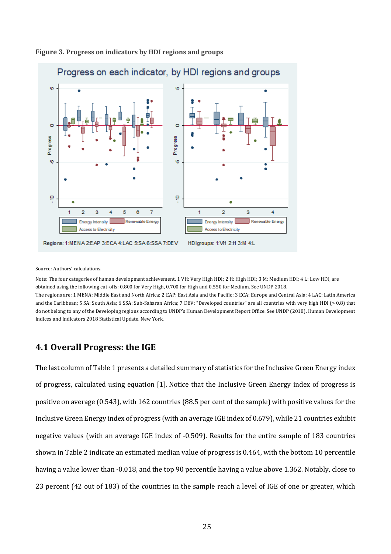

#### Figure 3. Progress on indicators by HDI regions and groups

Source: Authors' calculations.

Note: The four categories of human development achievement, 1 VH: Very High HDI; 2 H: High HDI; 3 M: Medium HDI; 4 L: Low HDI, are obtained using the following cut-offs: 0.800 for Very High, 0.700 for High and 0.550 for Medium. See UNDP 2018. The regions are: 1 MENA: Middle East and North Africa; 2 EAP: East Asia and the Pacific; 3 ECA: Europe and Central Asia; 4 LAC: Latin America and the Caribbean; 5 SA: South Asia; 6 SSA: Sub-Saharan Africa; 7 DEV: "Developed countries" are all countries with very high HDI (> 0.8) that do not belong to any of the Developing regions according to UNDP's Human Development Report Office. See UNDP (2018). Human Development

Indices and Indicators 2018 Statistical Update. New York.

### **4.1 Overall Progress: the IGE**

The last column of Table 1 presents a detailed summary of statistics for the Inclusive Green Energy index of progress, calculated using equation [1]. Notice that the Inclusive Green Energy index of progress is positive on average (0.543), with 162 countries (88.5 per cent of the sample) with positive values for the Inclusive Green Energy index of progress (with an average IGE index of 0.679), while 21 countries exhibit negative values (with an average IGE index of -0.509). Results for the entire sample of 183 countries shown in Table 2 indicate an estimated median value of progress is 0.464, with the bottom 10 percentile having a value lower than -0.018, and the top 90 percentile having a value above 1.362. Notably, close to 23 percent (42 out of 183) of the countries in the sample reach a level of IGE of one or greater, which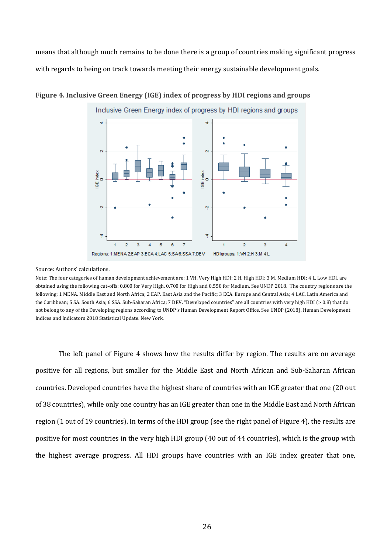means that although much remains to be done there is a group of countries making significant progress with regards to being on track towards meeting their energy sustainable development goals.



### Figure 4. Inclusive Green Energy (IGE) index of progress by HDI regions and groups

#### Source: Authors' calculations.

Note: The four categories of human development achievement are: 1 VH. Very High HDI; 2 H. High HDI; 3 M. Medium HDI; 4 L. Low HDI, are obtained using the following cut-offs: 0.800 for Very High, 0.700 for High and 0.550 for Medium. See UNDP 2018. The country regions are the following: 1 MENA. Middle East and North Africa; 2 EAP. East Asia and the Pacific; 3 ECA. Europe and Central Asia; 4 LAC. Latin America and the Caribbean; 5 SA. South Asia; 6 SSA. Sub-Saharan Africa; 7 DEV. "Developed countries" are all countries with very high HDI (> 0.8) that do not belong to any of the Developing regions according to UNDP's Human Development Report Office. See UNDP (2018). Human Development Indices and Indicators 2018 Statistical Update. New York.

The left panel of Figure 4 shows how the results differ by region. The results are on average positive for all regions, but smaller for the Middle East and North African and Sub-Saharan African countries. Developed countries have the highest share of countries with an IGE greater that one (20 out of 38 countries), while only one country has an IGE greater than one in the Middle East and North African region (1 out of 19 countries). In terms of the HDI group (see the right panel of Figure 4), the results are positive for most countries in the very high HDI group (40 out of 44 countries), which is the group with the highest average progress. All HDI groups have countries with an IGE index greater that one,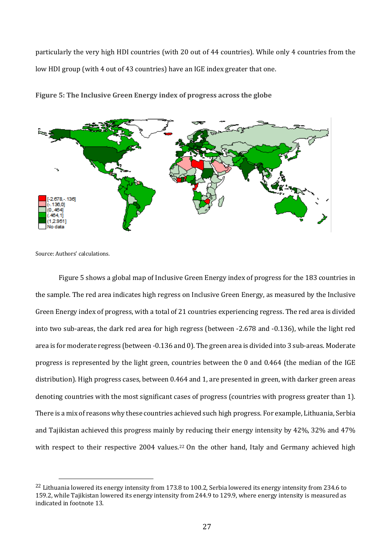particularly the very high HDI countries (with 20 out of 44 countries). While only 4 countries from the low HDI group (with 4 out of 43 countries) have an IGE index greater that one.



**Figure 5: The Inclusive Green Energy index of progress across the globe** 

Source: Authors' calculations.

Figure 5 shows a global map of Inclusive Green Energy index of progress for the 183 countries in the sample. The red area indicates high regress on Inclusive Green Energy, as measured by the Inclusive Green Energy index of progress, with a total of 21 countries experiencing regress. The red area is divided into two sub-areas, the dark red area for high regress (between -2.678 and -0.136), while the light red area is for moderate regress (between -0.136 and 0). The green area is divided into 3 sub-areas. Moderate progress is represented by the light green, countries between the 0 and 0.464 (the median of the IGE distribution). High progress cases, between 0.464 and 1, are presented in green, with darker green areas denoting countries with the most significant cases of progress (countries with progress greater than 1). There is a mix of reasons why these countries achieved such high progress. For example, Lithuania, Serbia and Tajikistan achieved this progress mainly by reducing their energy intensity by  $42\%$ ,  $32\%$  and  $47\%$ with respect to their respective 2004 values.<sup>22</sup> On the other hand, Italy and Germany achieved high

<sup>&</sup>lt;sup>22</sup> Lithuania lowered its energy intensity from 173.8 to 100.2, Serbia lowered its energy intensity from 234.6 to 159.2, while Tajikistan lowered its energy intensity from 244.9 to 129.9, where energy intensity is measured as indicated in footnote 13.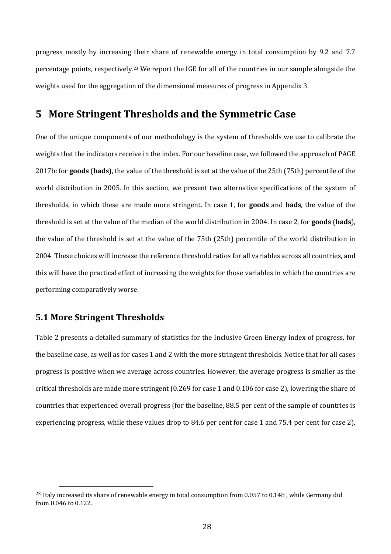progress mostly by increasing their share of renewable energy in total consumption by 9.2 and 7.7 percentage points, respectively.<sup>23</sup> We report the IGE for all of the countries in our sample alongside the weights used for the aggregation of the dimensional measures of progress in Appendix 3.

### **5 More Stringent Thresholds and the Symmetric Case**

One of the unique components of our methodology is the system of thresholds we use to calibrate the weights that the indicators receive in the index. For our baseline case, we followed the approach of PAGE 2017b: for **goods** (bads), the value of the threshold is set at the value of the 25th (75th) percentile of the world distribution in 2005. In this section, we present two alternative specifications of the system of thresholds, in which these are made more stringent. In case 1, for **goods** and **bads**, the value of the threshold is set at the value of the median of the world distribution in 2004. In case 2, for **goods** (**bads**), the value of the threshold is set at the value of the 75th (25th) percentile of the world distribution in 2004. These choices will increase the reference threshold ratios for all variables across all countries, and this will have the practical effect of increasing the weights for those variables in which the countries are performing comparatively worse.

### **5.1 More Stringent Thresholds**

Table 2 presents a detailed summary of statistics for the Inclusive Green Energy index of progress, for the baseline case, as well as for cases 1 and 2 with the more stringent thresholds. Notice that for all cases progress is positive when we average across countries. However, the average progress is smaller as the critical thresholds are made more stringent  $(0.269$  for case 1 and  $0.106$  for case 2), lowering the share of countries that experienced overall progress (for the baseline, 88.5 per cent of the sample of countries is experiencing progress, while these values drop to 84.6 per cent for case 1 and 75.4 per cent for case 2).

<sup>&</sup>lt;sup>23</sup> Italy increased its share of renewable energy in total consumption from 0.057 to 0.148, while Germany did from 0.046 to 0.122.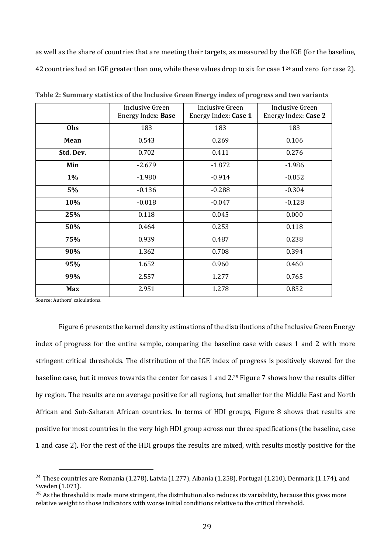as well as the share of countries that are meeting their targets, as measured by the IGE (for the baseline, 42 countries had an IGE greater than one, while these values drop to six for case 1<sup>24</sup> and zero for case 2).

|            | <b>Inclusive Green</b><br>Energy Index: Base | Inclusive Green<br>Energy Index: Case 1 | Inclusive Green<br>Energy Index: Case 2 |
|------------|----------------------------------------------|-----------------------------------------|-----------------------------------------|
| Obs        | 183                                          | 183                                     | 183                                     |
| Mean       | 0.543                                        | 0.269                                   | 0.106                                   |
| Std. Dev.  | 0.702                                        | 0.411                                   | 0.276                                   |
| Min        | $-2.679$                                     | $-1.872$                                | $-1.986$                                |
| $1\%$      | $-1.980$                                     | $-0.914$                                | $-0.852$                                |
| 5%         | $-0.136$                                     | $-0.288$                                | $-0.304$                                |
| 10%        | $-0.018$                                     | $-0.047$                                | $-0.128$                                |
| 25%        | 0.118                                        | 0.045                                   | 0.000                                   |
| 50%        | 0.464                                        | 0.253                                   | 0.118                                   |
| 75%        | 0.939                                        | 0.487                                   | 0.238                                   |
| 90%        | 1.362                                        | 0.708                                   | 0.394                                   |
| 95%        | 1.652                                        | 0.960                                   | 0.460                                   |
| 99%        | 2.557                                        | 1.277                                   | 0.765                                   |
| <b>Max</b> | 2.951                                        | 1.278                                   | 0.852                                   |

**Table 2: Summary statistics of the Inclusive Green Energy index of progress and two variants** 

Source: Authors' calculations.

Figure 6 presents the kernel density estimations of the distributions of the Inclusive Green Energy index of progress for the entire sample, comparing the baseline case with cases 1 and 2 with more stringent critical thresholds. The distribution of the IGE index of progress is positively skewed for the baseline case, but it moves towards the center for cases 1 and 2.<sup>25</sup> Figure 7 shows how the results differ by region. The results are on average positive for all regions, but smaller for the Middle East and North African and Sub-Saharan African countries. In terms of HDI groups, Figure 8 shows that results are positive for most countries in the very high HDI group across our three specifications (the baseline, case 1 and case 2). For the rest of the HDI groups the results are mixed, with results mostly positive for the

<sup>&</sup>lt;sup>24</sup> These countries are Romania (1.278), Latvia (1.277), Albania (1.258), Portugal (1.210), Denmark (1.174), and Sweden (1.071).

 $^{25}$  As the threshold is made more stringent, the distribution also reduces its variability, because this gives more relative weight to those indicators with worse initial conditions relative to the critical threshold.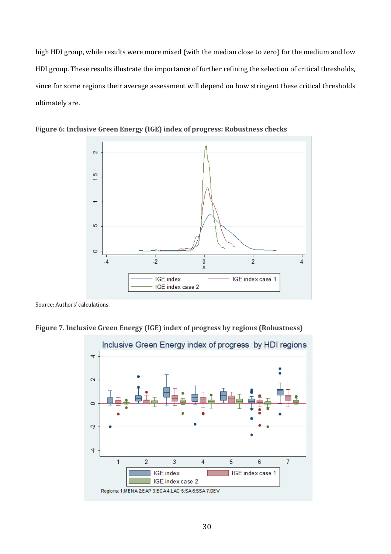high HDI group, while results were more mixed (with the median close to zero) for the medium and low HDI group. These results illustrate the importance of further refining the selection of critical thresholds, since for some regions their average assessment will depend on how stringent these critical thresholds ultimately are.



Figure 6: Inclusive Green Energy (IGE) index of progress: Robustness checks

Figure 7. Inclusive Green Energy (IGE) index of progress by regions (Robustness)



Source: Authors' calculations.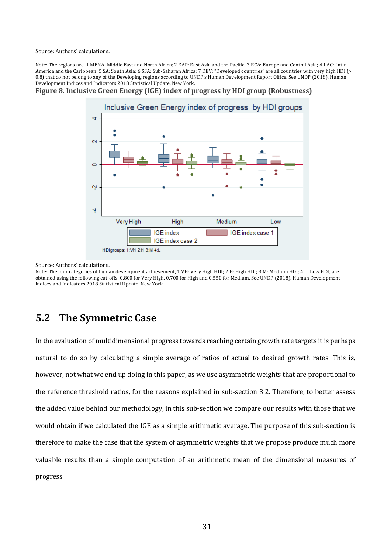Source: Authors' calculations.

Note: The regions are: 1 MENA: Middle East and North Africa; 2 EAP: East Asia and the Pacific; 3 ECA: Europe and Central Asia; 4 LAC: Latin America and the Caribbean; 5 SA: South Asia; 6 SSA: Sub-Saharan Africa; 7 DEV: "Developed countries" are all countries with very high HDI (> 0.8) that do not belong to any of the Developing regions according to UNDP's Human Development Report Office. See UNDP (2018). Human Development Indices and Indicators 2018 Statistical Update. New York.

**Figure 8. Inclusive Green Energy (IGE) index of progress by HDI group (Robustness)** 



Source: Authors' calculations.

Note: The four categories of human development achievement, 1 VH: Very High HDI; 2 H: High HDI; 3 M: Medium HDI; 4 L: Low HDI, are obtained using the following cut-offs: 0.800 for Very High, 0.700 for High and 0.550 for Medium. See UNDP (2018). Human Development Indices and Indicators 2018 Statistical Update. New York.

## **5.2** The Symmetric Case

In the evaluation of multidimensional progress towards reaching certain growth rate targets it is perhaps natural to do so by calculating a simple average of ratios of actual to desired growth rates. This is, however, not what we end up doing in this paper, as we use asymmetric weights that are proportional to the reference threshold ratios, for the reasons explained in sub-section 3.2. Therefore, to better assess the added value behind our methodology, in this sub-section we compare our results with those that we would obtain if we calculated the IGE as a simple arithmetic average. The purpose of this sub-section is therefore to make the case that the system of asymmetric weights that we propose produce much more valuable results than a simple computation of an arithmetic mean of the dimensional measures of progress.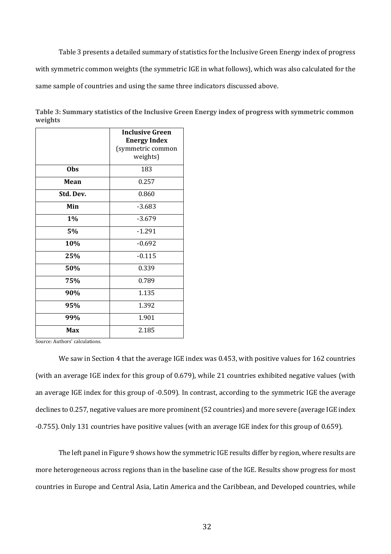Table 3 presents a detailed summary of statistics for the Inclusive Green Energy index of progress with symmetric common weights (the symmetric IGE in what follows), which was also calculated for the same sample of countries and using the same three indicators discussed above.

Table 3: Summary statistics of the Inclusive Green Energy index of progress with symmetric common **weights**

|            | <b>Inclusive Green</b> |
|------------|------------------------|
|            | <b>Energy Index</b>    |
|            | (symmetric common      |
|            | weights)               |
| <b>Obs</b> | 183                    |
| Mean       | 0.257                  |
| Std. Dev.  | 0.860                  |
| Min        | $-3.683$               |
| 1%         | $-3.679$               |
| 5%         | $-1.291$               |
| 10%        | $-0.692$               |
| 25%        | $-0.115$               |
| 50%        | 0.339                  |
| 75%        | 0.789                  |
| 90%        | 1.135                  |
| 95%        | 1.392                  |
| 99%        | 1.901                  |
| Max        | 2.185                  |

Source: Authors' calculations.

We saw in Section 4 that the average IGE index was 0.453, with positive values for 162 countries (with an average IGE index for this group of 0.679), while 21 countries exhibited negative values (with an average IGE index for this group of -0.509). In contrast, according to the symmetric IGE the average declines to 0.257, negative values are more prominent (52 countries) and more severe (average IGE index -0.755). Only 131 countries have positive values (with an average IGE index for this group of 0.659).

The left panel in Figure 9 shows how the symmetric IGE results differ by region, where results are more heterogeneous across regions than in the baseline case of the IGE. Results show progress for most countries in Europe and Central Asia, Latin America and the Caribbean, and Developed countries, while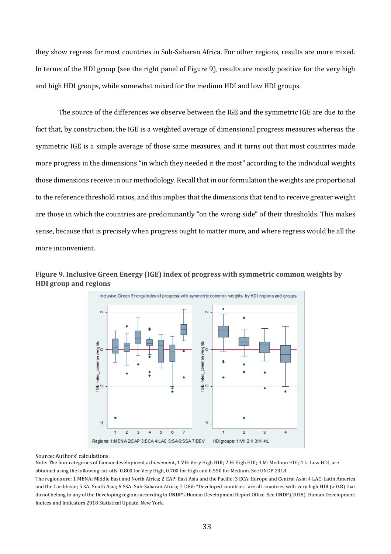they show regress for most countries in Sub-Saharan Africa. For other regions, results are more mixed. In terms of the HDI group (see the right panel of Figure 9), results are mostly positive for the very high and high HDI groups, while somewhat mixed for the medium HDI and low HDI groups.

The source of the differences we observe between the IGE and the symmetric IGE are due to the fact that, by construction, the IGE is a weighted average of dimensional progress measures whereas the symmetric IGE is a simple average of those same measures, and it turns out that most countries made more progress in the dimensions "in which they needed it the most" according to the individual weights those dimensions receive in our methodology. Recall that in our formulation the weights are proportional to the reference threshold ratios, and this implies that the dimensions that tend to receive greater weight are those in which the countries are predominantly "on the wrong side" of their thresholds. This makes sense, because that is precisely when progress ought to matter more, and where regress would be all the more inconvenient.





#### Source: Authors' calculations.

Note: The four categories of human development achievement, 1 VH: Very High HDI; 2 H: High HDI; 3 M: Medium HDI; 4 L: Low HDI, are obtained using the following cut-offs: 0.800 for Very High, 0.700 for High and 0.550 for Medium. See UNDP 2018.

The regions are: 1 MENA: Middle East and North Africa; 2 EAP: East Asia and the Pacific; 3 ECA: Europe and Central Asia; 4 LAC: Latin America and the Caribbean; 5 SA: South Asia; 6 SSA: Sub-Saharan Africa; 7 DEV: "Developed countries" are all countries with very high HDI (> 0.8) that do not belong to any of the Developing regions according to UNDP's Human Development Report Office. See UNDP (2018). Human Development Indices and Indicators 2018 Statistical Update. New York.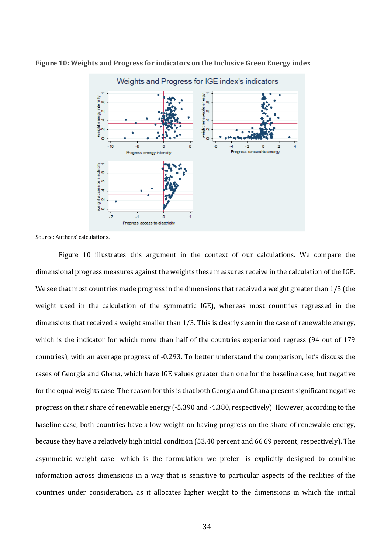

**Figure 10: Weights and Progress for indicators on the Inclusive Green Energy index** 

Source: Authors' calculations.

Figure 10 illustrates this argument in the context of our calculations. We compare the dimensional progress measures against the weights these measures receive in the calculation of the IGE. We see that most countries made progress in the dimensions that received a weight greater than  $1/3$  (the weight used in the calculation of the symmetric IGE), whereas most countries regressed in the dimensions that received a weight smaller than 1/3. This is clearly seen in the case of renewable energy, which is the indicator for which more than half of the countries experienced regress  $(94 \text{ out of } 179)$ countries), with an average progress of -0.293. To better understand the comparison, let's discuss the cases of Georgia and Ghana, which have IGE values greater than one for the baseline case, but negative for the equal weights case. The reason for this is that both Georgia and Ghana present significant negative progress on their share of renewable energy (-5.390 and -4.380, respectively). However, according to the baseline case, both countries have a low weight on having progress on the share of renewable energy, because they have a relatively high initial condition (53.40 percent and 66.69 percent, respectively). The asymmetric weight case -which is the formulation we prefer- is explicitly designed to combine information across dimensions in a way that is sensitive to particular aspects of the realities of the countries under consideration, as it allocates higher weight to the dimensions in which the initial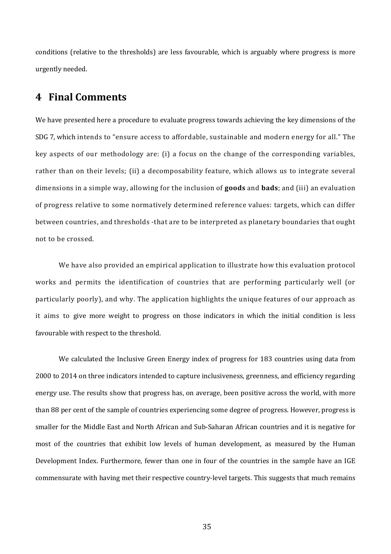conditions (relative to the thresholds) are less favourable, which is arguably where progress is more urgently needed. 

### **4 Final Comments**

We have presented here a procedure to evaluate progress towards achieving the key dimensions of the SDG 7, which intends to "ensure access to affordable, sustainable and modern energy for all." The key aspects of our methodology are: (i) a focus on the change of the corresponding variables, rather than on their levels; (ii) a decomposability feature, which allows us to integrate several dimensions in a simple way, allowing for the inclusion of **goods** and **bads**; and (iii) an evaluation of progress relative to some normatively determined reference values: targets, which can differ between countries, and thresholds -that are to be interpreted as planetary boundaries that ought not to be crossed.

We have also provided an empirical application to illustrate how this evaluation protocol works and permits the identification of countries that are performing particularly well (or particularly poorly), and why. The application highlights the unique features of our approach as it aims to give more weight to progress on those indicators in which the initial condition is less favourable with respect to the threshold.

We calculated the Inclusive Green Energy index of progress for 183 countries using data from 2000 to 2014 on three indicators intended to capture inclusiveness, greenness, and efficiency regarding energy use. The results show that progress has, on average, been positive across the world, with more than 88 per cent of the sample of countries experiencing some degree of progress. However, progress is smaller for the Middle East and North African and Sub-Saharan African countries and it is negative for most of the countries that exhibit low levels of human development, as measured by the Human Development Index. Furthermore, fewer than one in four of the countries in the sample have an IGE commensurate with having met their respective country-level targets. This suggests that much remains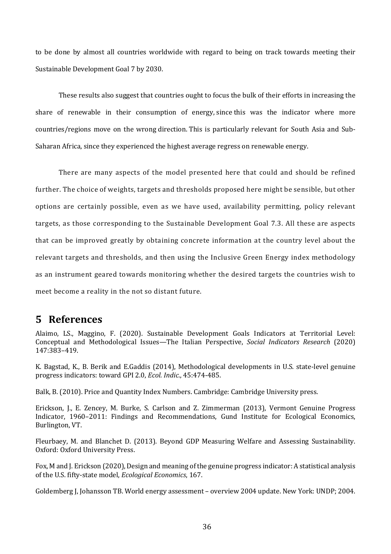to be done by almost all countries worldwide with regard to being on track towards meeting their Sustainable Development Goal 7 by 2030.

These results also suggest that countries ought to focus the bulk of their efforts in increasing the share of renewable in their consumption of energy, since this was the indicator where more countries/regions move on the wrong direction. This is particularly relevant for South Asia and Sub-Saharan Africa, since they experienced the highest average regress on renewable energy.

There are many aspects of the model presented here that could and should be refined further. The choice of weights, targets and thresholds proposed here might be sensible, but other options are certainly possible, even as we have used, availability permitting, policy relevant targets, as those corresponding to the Sustainable Development Goal 7.3. All these are aspects that can be improved greatly by obtaining concrete information at the country level about the relevant targets and thresholds, and then using the Inclusive Green Energy index methodology as an instrument geared towards monitoring whether the desired targets the countries wish to meet become a reality in the not so distant future.

## **5 References**

Alaimo, LS., Maggino, F. (2020). Sustainable Development Goals Indicators at Territorial Level: Conceptual and Methodological Issues—The Italian Perspective, *Social Indicators Research* (2020) 147:383–419.

K. Bagstad, K., B. Berik and E.Gaddis (2014), Methodological developments in U.S. state-level genuine progress indicators: toward GPI 2.0, *Ecol. Indic.*, 45:474-485.

Balk, B. (2010). Price and Quantity Index Numbers. Cambridge: Cambridge University press.

Erickson. I., E. Zencey, M. Burke, S. Carlson and Z. Zimmerman (2013), Vermont Genuine Progress Indicator, 1960–2011: Findings and Recommendations, Gund Institute for Ecological Economics, Burlington, VT.

Fleurbaey, M. and Blanchet D. (2013). Beyond GDP Measuring Welfare and Assessing Sustainability. Oxford: Oxford University Press.

Fox, M and J. Erickson (2020), Design and meaning of the genuine progress indicator: A statistical analysis of the U.S. fifty-state model, *Ecological Economics*, 167.

Goldemberg J, Johansson TB. World energy assessment – overview 2004 update. New York: UNDP; 2004.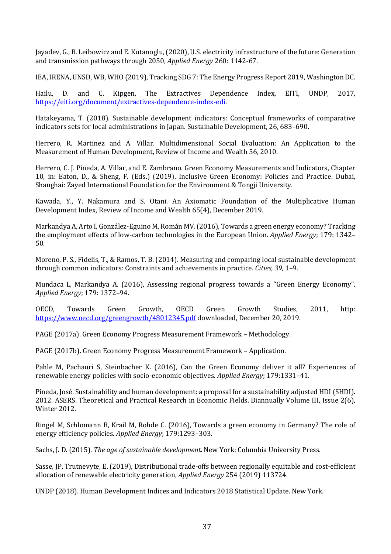Jayadev, G., B. Leibowicz and E. Kutanoglu, (2020), U.S. electricity infrastructure of the future: Generation and transmission pathways through 2050, *Applied Energy* 260: 1142-67.

IEA, IRENA, UNSD, WB, WHO (2019), Tracking SDG 7: The Energy Progress Report 2019, Washington DC.

Hailu, D. and C. Kipgen, The Extractives Dependence Index, EITI, UNDP, 2017, https://eiti.org/document/extractives-dependence-index-edi. 

Hatakeyama, T. (2018). Sustainable development indicators: Conceptual frameworks of comparative indicators sets for local administrations in Japan. Sustainable Development, 26, 683-690.

Herrero, R. Martinez and A. Villar. Multidimensional Social Evaluation: An Application to the Measurement of Human Development, Review of Income and Wealth 56, 2010.

Herrero, C. J. Pineda, A. Villar, and E. Zambrano. Green Economy Measurements and Indicators, Chapter 10, in: Eaton, D., & Sheng, F. (Eds.) (2019). Inclusive Green Economy: Policies and Practice. Dubai, Shanghai: Zayed International Foundation for the Environment & Tongji University.

Kawada, Y., Y. Nakamura and S. Otani. An Axiomatic Foundation of the Multiplicative Human Development Index, Review of Income and Wealth 65(4), December 2019.

Markandya A, Arto I, González-Eguino M, Román MV. (2016), Towards a green energy economy? Tracking the employment effects of low-carbon technologies in the European Union. *Applied Energy*; 179: 1342– 50.

Moreno, P. S., Fidelis, T., & Ramos, T. B. (2014). Measuring and comparing local sustainable development through common indicators: Constraints and achievements in practice. *Cities, 39, 1*–9.

Mundaca L, Markandya A. (2016), Assessing regional progress towards a "Green Energy Economy". *Applied Energy*; 179: 1372–94.

OECD, Towards Green Growth, OECD Green Growth Studies, 2011, http: https://www.oecd.org/greengrowth/48012345.pdf downloaded, December 20, 2019.

PAGE (2017a). Green Economy Progress Measurement Framework - Methodology.

PAGE (2017b). Green Economy Progress Measurement Framework – Application.

Pahle M, Pachauri S, Steinbacher K. (2016), Can the Green Economy deliver it all? Experiences of renewable energy policies with socio-economic objectives. *Applied Energy*; 179:1331-41.

Pineda, José. Sustainability and human development: a proposal for a sustainability adjusted HDI (SHDI). 2012. ASERS. Theoretical and Practical Research in Economic Fields. Biannually Volume III, Issue 2(6), Winter 2012.

Ringel M, Schlomann B, Krail M, Rohde C. (2016), Towards a green economy in Germany? The role of energy efficiency policies. *Applied Energy*; 179:1293-303.

Sachs, J. D. (2015). *The age of sustainable development*. New York: Columbia University Press.

Sasse, JP, Trutnevyte, E. (2019), Distributional trade-offs between regionally equitable and cost-efficient allocation of renewable electricity generation, *Applied Energy* 254 (2019) 113724.

UNDP (2018). Human Development Indices and Indicators 2018 Statistical Update. New York.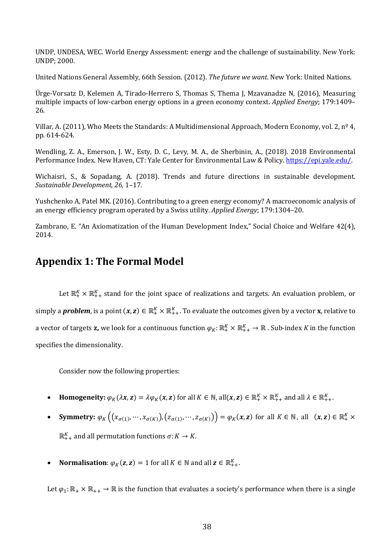UNDP, UNDESA, WEC. World Energy Assessment: energy and the challenge of sustainability. New York: UNDP; 2000.

United Nations General Assembly, 66th Session. (2012). *The future we want*. New York: United Nations.

Ürge-Vorsatz D, Kelemen A, Tirado-Herrero S, Thomas S, Thema J, Mzavanadze N, (2016), Measuring multiple impacts of low-carbon energy options in a green economy context. *Applied Energy*; 179:1409– 26.

Villar, A. (2011), Who Meets the Standards: A Multidimensional Approach, Modern Economy, vol. 2,  $n^{\circ}$  4, pp. 614-624.

Wendling, Z. A., Emerson, J. W., Esty, D. C., Levy, M. A., de Sherbinin, A., (2018). 2018 Environmental Performance Index. New Haven, CT: Yale Center for Environmental Law & Policy. https://epi.yale.edu/.

Wichaisri, S., & Sopadang, A. (2018). Trends and future directions in sustainable development. *Sustainable Development, 26,* 1–17.

Yushchenko A, Patel MK. (2016). Contributing to a green energy economy? A macroeconomic analysis of an energy efficiency program operated by a Swiss utility. *Applied Energy*; 179:1304–20.

Zambrano, E. "An Axiomatization of the Human Development Index," Social Choice and Welfare 42(4), 2014.

## **Appendix 1: The Formal Model**

Let  $\mathbb{R}^K_+ \times \mathbb{R}^K_{++}$  stand for the joint space of realizations and targets. An evaluation problem, or simply a *problem*, is a point  $(x, z) \in \mathbb{R}_+^K \times \mathbb{R}_{++}^K$ . To evaluate the outcomes given by a vector **x**, relative to a vector of targets **z,** we look for a continuous function  $\varphi_K\colon\mathbb{R}^K_+\times\mathbb{R}^K_{++}\to\mathbb{R}$  . Sub-index  $K$  in the function specifies the dimensionality.

Consider now the following properties:

- **Homogeneity:**  $\varphi_K(\lambda x, z) = \lambda \varphi_K(x, z)$  for all  $K \in \mathbb{N}$ , all $(x, z) \in \mathbb{R}_+^K \times \mathbb{R}_{++}^K$  and all  $\lambda \in \mathbb{R}_{++}^K$ .
- **Symmetry:**  $\varphi_K\left( (x_{\sigma(1)}, ..., x_{\sigma(K)}), (z_{\sigma(1)}, ..., z_{\sigma(K)}) \right) = \varphi_K(x, z)$  for all  $K \in \mathbb{N}$ , all  $(x, z) \in \mathbb{R}_+^K$  x  $\mathbb{R}_{++}^K$  and all permutation functions  $\sigma: K \to K$ .
- **Normalisation**:  $\varphi_K(z, z) = 1$  for all  $K \in \mathbb{N}$  and all  $z \in \mathbb{R}^K_{++}$ .

Let  $\varphi_1: \mathbb{R}_+ \times \mathbb{R}_{++} \to \mathbb{R}$  is the function that evaluates a society's performance when there is a single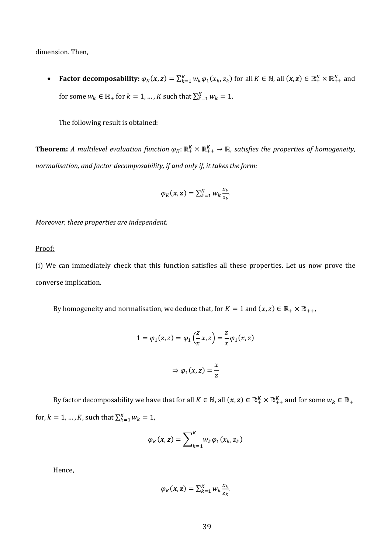dimension. Then,

• **Factor decomposability:**  $\varphi_K(x, z) = \sum_{k=1}^K w_k \varphi_1(x_k, z_k)$  for all  $K \in \mathbb{N}$ , all  $(x, z) \in \mathbb{R}_+^K \times \mathbb{R}_{++}^K$  and for some  $w_k \in \mathbb{R}_+$  for  $k = 1, ..., K$  such that  $\sum_{k=1}^{K} w_k = 1$ .

The following result is obtained:

**Theorem:** A multilevel evaluation function  $\varphi_K: \mathbb{R}^K_+ \times \mathbb{R}^K_{++} \to \mathbb{R}$ , satisfies the properties of homogeneity, *normalisation, and factor decomposability, if and only if, it takes the form:* 

$$
\varphi_K(\pmb{x},\pmb{z}) = \sum_{k=1}^K w_k \frac{x_k}{z_k}.
$$

*Moreover, these properties are independent.* 

Proof:

(i) We can immediately check that this function satisfies all these properties. Let us now prove the converse implication.

By homogeneity and normalisation, we deduce that, for  $K = 1$  and  $(x, z) \in \mathbb{R}_+ \times \mathbb{R}_{++}$ ,

$$
1 = \varphi_1(z, z) = \varphi_1\left(\frac{z}{x}, z\right) = \frac{z}{x}\varphi_1(x, z)
$$

$$
\Rightarrow \varphi_1(x, z) = \frac{x}{z}
$$

By factor decomposability we have that for all  $K\in\mathbb N$ , all  $(\pmb x,\pmb z)\in\mathbb R_+^K\times\mathbb R_{++}^K$  and for some  $w_k\in\mathbb R_+$ for,  $k = 1, ..., K$ , such that  $\sum_{k=1}^{K} w_k = 1$ ,

$$
\varphi_K(\mathbf{x}, \mathbf{z}) = \sum\nolimits_{k=1}^K w_k \varphi_1(x_k, z_k)
$$

Hence,

$$
\varphi_K(\pmb{x},\pmb{z}) = \sum_{k=1}^K w_k \frac{x_k}{z_k}.
$$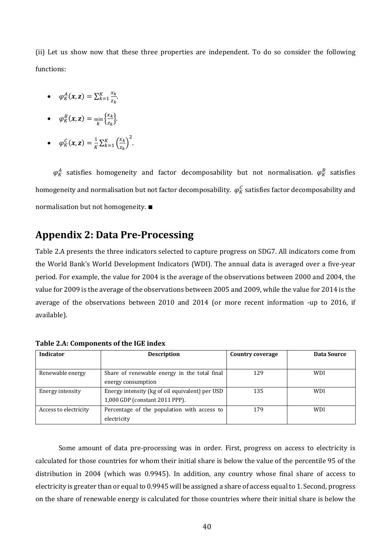(ii) Let us show now that these three properties are independent. To do so consider the following functions:

- $\varphi_K^A(x, z) = \sum_{k=1}^K \frac{x_k}{z_k}$  $\frac{K}{k} = 1 \frac{x_k}{z_k}$ .
- $\varphi_K^B(x, z) = \min_k \left\{ \frac{x_k}{z_k} \right\}$  $\frac{x_k}{z_k}$ .
- $\varphi_K^C(x, z) = \frac{1}{K} \sum_{k=1}^K \left( \frac{x_k}{z_k} \right)$  $\frac{K}{k=1} \left(\frac{x_k}{z_k}\right)^2$ .

 $\varphi^A_K$  satisfies homogeneity and factor decomposability but not normalisation.  $\varphi^B_K$  satisfies homogeneity and normalisation but not factor decomposability.  $\,\phi_K^{\,C}$  satisfies factor decomposability and normalisation but not homogeneity. ■

## **Appendix 2: Data Pre-Processing**

Table 2.A presents the three indicators selected to capture progress on SDG7. All indicators come from the World Bank's World Development Indicators (WDI). The annual data is averaged over a five-year period. For example, the value for 2004 is the average of the observations between 2000 and 2004, the value for 2009 is the average of the observations between 2005 and 2009, while the value for 2014 is the average of the observations between 2010 and 2014 (or more recent information -up to 2016, if available).

| <b>Indicator</b>      | <b>Description</b>                              | <b>Country coverage</b> | Data Source |
|-----------------------|-------------------------------------------------|-------------------------|-------------|
|                       |                                                 |                         |             |
| Renewable energy      | Share of renewable energy in the total final    | 129                     | <b>WDI</b>  |
|                       | energy consumption                              |                         |             |
| Energy intensity      | Energy intensity (kg of oil equivalent) per USD | 135                     | <b>WDI</b>  |
|                       | 1,000 GDP (constant 2011 PPP).                  |                         |             |
| Access to electricity | Percentage of the population with access to     | 179                     | <b>WDI</b>  |
|                       | electricity                                     |                         |             |

**Table 2.A: Components of the IGE index**

Some amount of data pre-processing was in order. First, progress on access to electricity is calculated for those countries for whom their initial share is below the value of the percentile 95 of the distribution in 2004 (which was 0.9945). In addition, any country whose final share of access to electricity is greater than or equal to 0.9945 will be assigned a share of access equal to 1. Second, progress on the share of renewable energy is calculated for those countries where their initial share is below the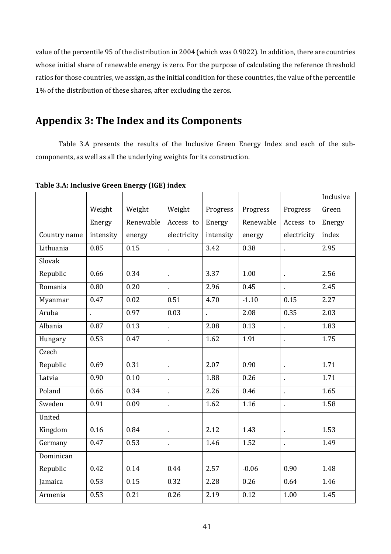value of the percentile 95 of the distribution in 2004 (which was 0.9022). In addition, there are countries whose initial share of renewable energy is zero. For the purpose of calculating the reference threshold ratios for those countries, we assign, as the initial condition for these countries, the value of the percentile 1% of the distribution of these shares, after excluding the zeros.

# Appendix 3: The Index and its Components

Table 3.A presents the results of the Inclusive Green Energy Index and each of the subcomponents, as well as all the underlying weights for its construction.

|              |           |           |             |           |           |             | Inclusive |
|--------------|-----------|-----------|-------------|-----------|-----------|-------------|-----------|
|              | Weight    | Weight    | Weight      | Progress  | Progress  | Progress    | Green     |
|              | Energy    | Renewable | Access to   | Energy    | Renewable | Access to   | Energy    |
| Country name | intensity | energy    | electricity | intensity | energy    | electricity | index     |
| Lithuania    | 0.85      | 0.15      | l,          | 3.42      | 0.38      | ä,          | 2.95      |
| Slovak       |           |           |             |           |           |             |           |
| Republic     | 0.66      | 0.34      |             | 3.37      | 1.00      | ä,          | 2.56      |
| Romania      | 0.80      | 0.20      |             | 2.96      | 0.45      | ä,          | 2.45      |
| Myanmar      | 0.47      | 0.02      | 0.51        | 4.70      | $-1.10$   | 0.15        | 2.27      |
| Aruba        |           | 0.97      | 0.03        | ä,        | 2.08      | 0.35        | 2.03      |
| Albania      | 0.87      | 0.13      | t,          | 2.08      | 0.13      | t,          | 1.83      |
| Hungary      | 0.53      | 0.47      | ł.          | 1.62      | 1.91      | ä,          | 1.75      |
| Czech        |           |           |             |           |           |             |           |
| Republic     | 0.69      | 0.31      | ÷,          | 2.07      | 0.90      | ä,          | 1.71      |
| Latvia       | 0.90      | 0.10      |             | 1.88      | 0.26      | t.          | 1.71      |
| Poland       | 0.66      | 0.34      | ÷,          | 2.26      | 0.46      | $\epsilon$  | 1.65      |
| Sweden       | 0.91      | 0.09      |             | 1.62      | 1.16      | $\epsilon$  | 1.58      |
| United       |           |           |             |           |           |             |           |
| Kingdom      | 0.16      | 0.84      | ä,          | 2.12      | 1.43      | ä,          | 1.53      |
| Germany      | 0.47      | 0.53      |             | 1.46      | 1.52      | t,          | 1.49      |
| Dominican    |           |           |             |           |           |             |           |
| Republic     | 0.42      | 0.14      | 0.44        | 2.57      | $-0.06$   | 0.90        | 1.48      |
| Jamaica      | 0.53      | 0.15      | 0.32        | 2.28      | 0.26      | 0.64        | 1.46      |
| Armenia      | 0.53      | 0.21      | 0.26        | 2.19      | 0.12      | 1.00        | 1.45      |

Table 3.A: Inclusive Green Energy (IGE) index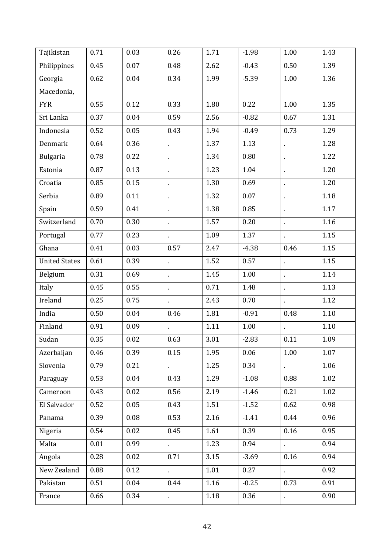| Tajikistan           | 0.71 | 0.03 | 0.26           | 1.71     | $-1.98$ | 1.00           | 1.43 |
|----------------------|------|------|----------------|----------|---------|----------------|------|
| Philippines          | 0.45 | 0.07 | 0.48           | 2.62     | $-0.43$ | 0.50           | 1.39 |
| Georgia              | 0.62 | 0.04 | 0.34           | 1.99     | $-5.39$ | 1.00           | 1.36 |
| Macedonia,           |      |      |                |          |         |                |      |
| <b>FYR</b>           | 0.55 | 0.12 | 0.33           | 1.80     | 0.22    | 1.00           | 1.35 |
| Sri Lanka            | 0.37 | 0.04 | 0.59           | 2.56     | $-0.82$ | 0.67           | 1.31 |
| Indonesia            | 0.52 | 0.05 | 0.43           | 1.94     | $-0.49$ | 0.73           | 1.29 |
| <b>Denmark</b>       | 0.64 | 0.36 |                | 1.37     | 1.13    | $\blacksquare$ | 1.28 |
| <b>Bulgaria</b>      | 0.78 | 0.22 | $\blacksquare$ | 1.34     | 0.80    |                | 1.22 |
| Estonia              | 0.87 | 0.13 | $\blacksquare$ | 1.23     | 1.04    | $\blacksquare$ | 1.20 |
| Croatia              | 0.85 | 0.15 | $\blacksquare$ | 1.30     | 0.69    | $\blacksquare$ | 1.20 |
| Serbia               | 0.89 | 0.11 | ×,             | 1.32     | 0.07    | $\blacksquare$ | 1.18 |
| Spain                | 0.59 | 0.41 |                | 1.38     | 0.85    | $\blacksquare$ | 1.17 |
| Switzerland          | 0.70 | 0.30 |                | 1.57     | 0.20    |                | 1.16 |
| Portugal             | 0.77 | 0.23 | $\cdot$        | 1.09     | 1.37    | $\blacksquare$ | 1.15 |
| Ghana                | 0.41 | 0.03 | 0.57           | 2.47     | $-4.38$ | 0.46           | 1.15 |
| <b>United States</b> | 0.61 | 0.39 | ä,             | 1.52     | 0.57    | í,             | 1.15 |
| Belgium              | 0.31 | 0.69 | ä,             | 1.45     | 1.00    | $\blacksquare$ | 1.14 |
| Italy                | 0.45 | 0.55 | $\blacksquare$ | 0.71     | 1.48    | $\blacksquare$ | 1.13 |
| Ireland              | 0.25 | 0.75 | ä,             | 2.43     | 0.70    | ä,             | 1.12 |
| India                | 0.50 | 0.04 | 0.46           | 1.81     | $-0.91$ | 0.48           | 1.10 |
| Finland              | 0.91 | 0.09 |                | 1.11     | 1.00    |                | 1.10 |
| Sudan                | 0.35 | 0.02 | 0.63           | $3.01\,$ | $-2.83$ | $0.11\,$       | 1.09 |
| Azerbaijan           | 0.46 | 0.39 | 0.15           | 1.95     | 0.06    | 1.00           | 1.07 |
| Slovenia             | 0.79 | 0.21 |                | 1.25     | 0.34    | ¥,             | 1.06 |
| Paraguay             | 0.53 | 0.04 | 0.43           | 1.29     | $-1.08$ | 0.88           | 1.02 |
| Cameroon             | 0.43 | 0.02 | 0.56           | 2.19     | $-1.46$ | 0.21           | 1.02 |
| El Salvador          | 0.52 | 0.05 | 0.43           | 1.51     | $-1.52$ | 0.62           | 0.98 |
| Panama               | 0.39 | 0.08 | 0.53           | 2.16     | $-1.41$ | 0.44           | 0.96 |
| Nigeria              | 0.54 | 0.02 | 0.45           | 1.61     | 0.39    | 0.16           | 0.95 |
| Malta                | 0.01 | 0.99 |                | 1.23     | 0.94    |                | 0.94 |
| Angola               | 0.28 | 0.02 | 0.71           | 3.15     | $-3.69$ | 0.16           | 0.94 |
| New Zealand          | 0.88 | 0.12 | ä,             | 1.01     | 0.27    | ä,             | 0.92 |
| Pakistan             | 0.51 | 0.04 | 0.44           | 1.16     | $-0.25$ | 0.73           | 0.91 |
| France               | 0.66 | 0.34 |                | 1.18     | 0.36    | $\blacksquare$ | 0.90 |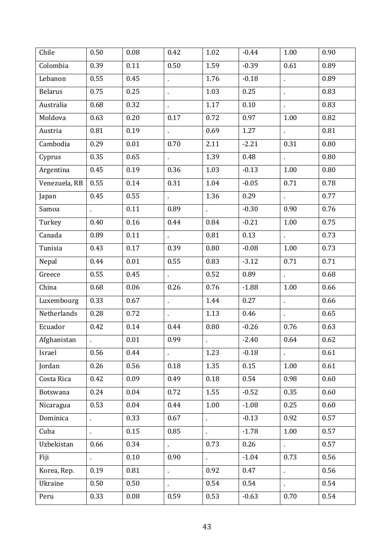| Chile          | 0.50           | 0.08     | 0.42           | 1.02           | $-0.44$ | 1.00           | 0.90 |
|----------------|----------------|----------|----------------|----------------|---------|----------------|------|
| Colombia       | 0.39           | 0.11     | 0.50           | 1.59           | $-0.39$ | 0.61           | 0.89 |
| Lebanon        | 0.55           | 0.45     | $\blacksquare$ | 1.76           | $-0.18$ | $\blacksquare$ | 0.89 |
| <b>Belarus</b> | 0.75           | 0.25     | ä,             | 1.03           | 0.25    | ä,             | 0.83 |
| Australia      | 0.68           | 0.32     |                | 1.17           | 0.10    |                | 0.83 |
| Moldova        | 0.63           | 0.20     | 0.17           | 0.72           | 0.97    | 1.00           | 0.82 |
| Austria        | 0.81           | 0.19     | ä,             | 0.69           | 1.27    | $\mathbf{r}$   | 0.81 |
| Cambodia       | 0.29           | 0.01     | 0.70           | 2.11           | $-2.21$ | 0.31           | 0.80 |
| Cyprus         | 0.35           | 0.65     | ¥.             | 1.39           | 0.48    | $\mathbf{r}$   | 0.80 |
| Argentina      | 0.45           | 0.19     | 0.36           | 1.03           | $-0.13$ | 1.00           | 0.80 |
| Venezuela, RB  | 0.55           | 0.14     | 0.31           | 1.04           | $-0.05$ | 0.71           | 0.78 |
| Japan          | 0.45           | 0.55     | $\epsilon$     | 1.36           | 0.29    | $\mathbf{r}$   | 0.77 |
| Samoa          | ä,             | 0.11     | 0.89           | ¥,             | $-0.30$ | 0.90           | 0.76 |
| Turkey         | 0.40           | 0.16     | 0.44           | 0.84           | $-0.21$ | 1.00           | 0.75 |
| Canada         | 0.89           | 0.11     | $\epsilon$     | 0.81           | 0.13    | $\epsilon$     | 0.73 |
| Tunisia        | 0.43           | 0.17     | 0.39           | 0.80           | $-0.08$ | 1.00           | 0.73 |
| Nepal          | 0.44           | 0.01     | 0.55           | 0.83           | $-3.12$ | 0.71           | 0.71 |
| Greece         | 0.55           | 0.45     | $\epsilon$     | 0.52           | 0.89    | $\epsilon$     | 0.68 |
| China          | 0.68           | 0.06     | 0.26           | 0.76           | $-1.88$ | 1.00           | 0.66 |
| Luxembourg     | 0.33           | 0.67     | ä,             | 1.44           | 0.27    | ä,             | 0.66 |
| Netherlands    | 0.28           | 0.72     | $\blacksquare$ | 1.13           | 0.46    |                | 0.65 |
| Ecuador        | 0.42           | 0.14     | 0.44           | 0.80           | $-0.26$ | 0.76           | 0.63 |
| Afghanistan    |                | $0.01\,$ | 0.99           |                | $-2.40$ | 0.64           | 0.62 |
| Israel         | 0.56           | 0.44     |                | 1.23           | $-0.18$ |                | 0.61 |
| Jordan         | 0.26           | 0.56     | 0.18           | 1.35           | 0.15    | 1.00           | 0.61 |
| Costa Rica     | 0.42           | 0.09     | 0.49           | 0.18           | 0.54    | 0.98           | 0.60 |
| Botswana       | 0.24           | 0.04     | 0.72           | 1.55           | $-0.52$ | 0.35           | 0.60 |
| Nicaragua      | 0.53           | 0.04     | 0.44           | 1.00           | $-1.08$ | 0.25           | 0.60 |
| Dominica       | $\blacksquare$ | 0.33     | 0.67           | $\blacksquare$ | $-0.13$ | 0.92           | 0.57 |
| Cuba           |                | 0.15     | 0.85           | $\blacksquare$ | $-1.78$ | 1.00           | 0.57 |
| Uzbekistan     | 0.66           | 0.34     | ¥.             | 0.73           | 0.26    | $\epsilon$     | 0.57 |
| Fiji           | ä,             | 0.10     | 0.90           | k,             | $-1.04$ | 0.73           | 0.56 |
| Korea, Rep.    | 0.19           | 0.81     | ä,             | 0.92           | 0.47    | í,             | 0.56 |
| Ukraine        | 0.50           | 0.50     |                | 0.54           | 0.54    |                | 0.54 |
| Peru           | 0.33           | 0.08     | 0.59           | 0.53           | $-0.63$ | 0.70           | 0.54 |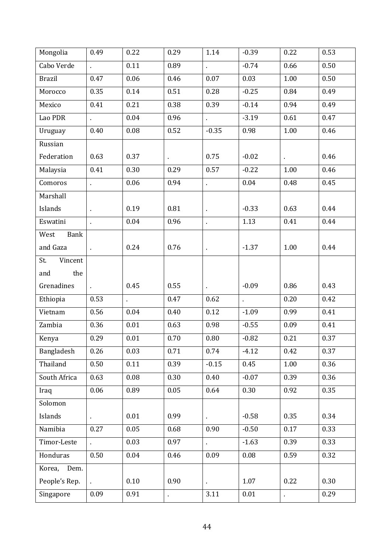| Mongolia       | 0.49           | 0.22                 | 0.29    | 1.14                  | $-0.39$ | 0.22 | 0.53 |
|----------------|----------------|----------------------|---------|-----------------------|---------|------|------|
| Cabo Verde     | $\mathbf{r}$   | 0.11                 | 0.89    | ä,                    | $-0.74$ | 0.66 | 0.50 |
| <b>Brazil</b>  | 0.47           | 0.06                 | 0.46    | 0.07                  | 0.03    | 1.00 | 0.50 |
| Morocco        | 0.35           | 0.14                 | 0.51    | 0.28                  | $-0.25$ | 0.84 | 0.49 |
| Mexico         | 0.41           | 0.21                 | 0.38    | 0.39                  | $-0.14$ | 0.94 | 0.49 |
| Lao PDR        | $\epsilon$     | 0.04                 | 0.96    | $\mathbf{r}^{\prime}$ | $-3.19$ | 0.61 | 0.47 |
| Uruguay        | 0.40           | 0.08                 | 0.52    | $-0.35$               | 0.98    | 1.00 | 0.46 |
| Russian        |                |                      |         |                       |         |      |      |
| Federation     | 0.63           | 0.37                 | $\cdot$ | 0.75                  | $-0.02$ | ¥,   | 0.46 |
| Malaysia       | 0.41           | 0.30                 | 0.29    | 0.57                  | $-0.22$ | 1.00 | 0.46 |
| Comoros        | ä,             | 0.06                 | 0.94    | $\hat{\mathbf{r}}$    | 0.04    | 0.48 | 0.45 |
| Marshall       |                |                      |         |                       |         |      |      |
| Islands        | $\blacksquare$ | 0.19                 | 0.81    | $\blacksquare$        | $-0.33$ | 0.63 | 0.44 |
| Eswatini       | $\epsilon$     | 0.04                 | 0.96    | $\blacksquare$        | 1.13    | 0.41 | 0.44 |
| Bank<br>West   |                |                      |         |                       |         |      |      |
| and Gaza       | $\epsilon$     | 0.24                 | 0.76    | $\blacksquare$        | $-1.37$ | 1.00 | 0.44 |
| St.<br>Vincent |                |                      |         |                       |         |      |      |
| the<br>and     |                |                      |         |                       |         |      |      |
| Grenadines     |                | 0.45                 | 0.55    |                       | $-0.09$ | 0.86 | 0.43 |
| Ethiopia       | 0.53           | $\ddot{\phantom{0}}$ | 0.47    | 0.62                  | t,      | 0.20 | 0.42 |
| Vietnam        | 0.56           | 0.04                 | 0.40    | 0.12                  | $-1.09$ | 0.99 | 0.41 |
| Zambia         | 0.36           | 0.01                 | 0.63    | 0.98                  | $-0.55$ | 0.09 | 0.41 |
| Kenya          | 0.29           | 0.01                 | 0.70    | 0.80                  | $-0.82$ | 0.21 | 0.37 |
| Bangladesh     | 0.26           | 0.03                 | 0.71    | 0.74                  | $-4.12$ | 0.42 | 0.37 |
| Thailand       | 0.50           | 0.11                 | 0.39    | $-0.15$               | 0.45    | 1.00 | 0.36 |
| South Africa   | 0.63           | 0.08                 | 0.30    | 0.40                  | $-0.07$ | 0.39 | 0.36 |
| Iraq           | 0.06           | 0.89                 | 0.05    | 0.64                  | 0.30    | 0.92 | 0.35 |
| Solomon        |                |                      |         |                       |         |      |      |
| Islands        | ¥,             | 0.01                 | 0.99    | k,                    | $-0.58$ | 0.35 | 0.34 |
| Namibia        | 0.27           | 0.05                 | 0.68    | 0.90                  | $-0.50$ | 0.17 | 0.33 |
| Timor-Leste    | ¥.             | 0.03                 | 0.97    | k,                    | $-1.63$ | 0.39 | 0.33 |
| Honduras       | 0.50           | 0.04                 | 0.46    | 0.09                  | 0.08    | 0.59 | 0.32 |
| Korea, Dem.    |                |                      |         |                       |         |      |      |
| People's Rep.  | $\mathbf{r}$   | 0.10                 | 0.90    | ¥,                    | 1.07    | 0.22 | 0.30 |
| Singapore      | 0.09           | 0.91                 | ¥,      | 3.11                  | 0.01    |      | 0.29 |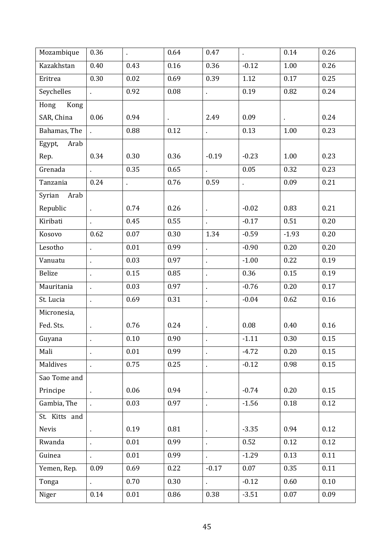| Mozambique     | 0.36               | ä,   | 0.64           | 0.47               | ä,      | 0.14           | 0.26 |
|----------------|--------------------|------|----------------|--------------------|---------|----------------|------|
| Kazakhstan     | 0.40               | 0.43 | 0.16           | 0.36               | $-0.12$ | 1.00           | 0.26 |
| Eritrea        | 0.30               | 0.02 | 0.69           | 0.39               | 1.12    | 0.17           | 0.25 |
| Seychelles     | t.                 | 0.92 | 0.08           | ä,                 | 0.19    | 0.82           | 0.24 |
| Kong<br>Hong   |                    |      |                |                    |         |                |      |
| SAR, China     | 0.06               | 0.94 | $\blacksquare$ | 2.49               | 0.09    | $\blacksquare$ | 0.24 |
| Bahamas, The   |                    | 0.88 | 0.12           | $\mathbf{r}$       | 0.13    | 1.00           | 0.23 |
| Arab<br>Egypt, |                    |      |                |                    |         |                |      |
| Rep.           | 0.34               | 0.30 | 0.36           | $-0.19$            | $-0.23$ | 1.00           | 0.23 |
| Grenada        | ¥.                 | 0.35 | 0.65           | $\epsilon$         | 0.05    | 0.32           | 0.23 |
| Tanzania       | 0.24               | t,   | 0.76           | 0.59               | l,      | 0.09           | 0.21 |
| Syrian<br>Arab |                    |      |                |                    |         |                |      |
| Republic       | ä,                 | 0.74 | 0.26           | $\epsilon$         | $-0.02$ | 0.83           | 0.21 |
| Kiribati       | ¥.                 | 0.45 | 0.55           | $\epsilon$         | $-0.17$ | 0.51           | 0.20 |
| Kosovo         | 0.62               | 0.07 | 0.30           | 1.34               | $-0.59$ | $-1.93$        | 0.20 |
| Lesotho        | ×,                 | 0.01 | 0.99           | $\blacksquare$     | $-0.90$ | 0.20           | 0.20 |
| Vanuatu        | ä,                 | 0.03 | 0.97           | $\epsilon$         | $-1.00$ | 0.22           | 0.19 |
| Belize         | ä,                 | 0.15 | 0.85           | ä,                 | 0.36    | 0.15           | 0.19 |
| Mauritania     |                    | 0.03 | 0.97           | $\blacksquare$     | $-0.76$ | 0.20           | 0.17 |
| St. Lucia      | ä,                 | 0.69 | 0.31           | $\epsilon$         | $-0.04$ | 0.62           | 0.16 |
| Micronesia,    |                    |      |                |                    |         |                |      |
| Fed. Sts.      | $\blacksquare$     | 0.76 | 0.24           | $\blacksquare$     | 0.08    | 0.40           | 0.16 |
| Guyana         |                    | 0.10 | 0.90           | $\hat{\mathbf{r}}$ | $-1.11$ | 0.30           | 0.15 |
| Mali           | ä,                 | 0.01 | 0.99           | $\epsilon$         | $-4.72$ | 0.20           | 0.15 |
| Maldives       |                    | 0.75 | 0.25           | ä,                 | $-0.12$ | 0.98           | 0.15 |
| Sao Tome and   |                    |      |                |                    |         |                |      |
| Principe       | $\hat{\mathbf{r}}$ | 0.06 | 0.94           | $\blacksquare$     | $-0.74$ | 0.20           | 0.15 |
| Gambia, The    | ä,                 | 0.03 | 0.97           | Ŷ.                 | $-1.56$ | 0.18           | 0.12 |
| St. Kitts and  |                    |      |                |                    |         |                |      |
| Nevis          | $\blacksquare$     | 0.19 | 0.81           | $\hat{\mathbf{r}}$ | $-3.35$ | 0.94           | 0.12 |
| Rwanda         | ä,                 | 0.01 | 0.99           | k.                 | 0.52    | 0.12           | 0.12 |
| Guinea         |                    | 0.01 | 0.99           |                    | $-1.29$ | 0.13           | 0.11 |
| Yemen, Rep.    | 0.09               | 0.69 | 0.22           | $-0.17$            | 0.07    | 0.35           | 0.11 |
| Tonga          | ä,                 | 0.70 | 0.30           | $\mathbf{r}$       | $-0.12$ | 0.60           | 0.10 |
| Niger          | 0.14               | 0.01 | 0.86           | 0.38               | $-3.51$ | 0.07           | 0.09 |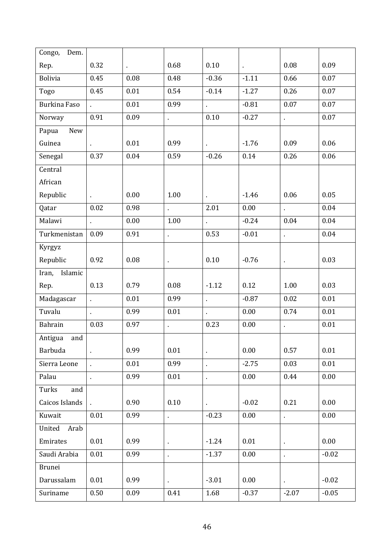| Congo,<br>Dem.      |                |                |      |                |                |                |         |
|---------------------|----------------|----------------|------|----------------|----------------|----------------|---------|
| Rep.                | 0.32           | $\blacksquare$ | 0.68 | 0.10           | $\blacksquare$ | 0.08           | 0.09    |
| <b>Bolivia</b>      | 0.45           | 0.08           | 0.48 | $-0.36$        | $-1.11$        | 0.66           | 0.07    |
| Togo                | 0.45           | 0.01           | 0.54 | $-0.14$        | $-1.27$        | 0.26           | 0.07    |
| <b>Burkina Faso</b> | $\mathbf{r}$   | 0.01           | 0.99 | k,             | $-0.81$        | 0.07           | 0.07    |
| Norway              | 0.91           | 0.09           | ¥,   | 0.10           | $-0.27$        | $\blacksquare$ | 0.07    |
| New<br>Papua        |                |                |      |                |                |                |         |
| Guinea              | $\mathbf{r}$   | 0.01           | 0.99 |                | $-1.76$        | 0.09           | 0.06    |
| Senegal             | 0.37           | 0.04           | 0.59 | $-0.26$        | 0.14           | 0.26           | 0.06    |
| Central             |                |                |      |                |                |                |         |
| African             |                |                |      |                |                |                |         |
| Republic            |                | 0.00           | 1.00 | $\blacksquare$ | $-1.46$        | 0.06           | 0.05    |
| Qatar               | 0.02           | 0.98           |      | 2.01           | 0.00           | $\blacksquare$ | 0.04    |
| Malawi              | ä,             | 0.00           | 1.00 | $\mathbf{r}$   | $-0.24$        | 0.04           | 0.04    |
| Turkmenistan        | 0.09           | 0.91           | ä,   | 0.53           | $-0.01$        | ä,             | 0.04    |
| Kyrgyz              |                |                |      |                |                |                |         |
| Republic            | 0.92           | 0.08           | ä,   | 0.10           | $-0.76$        | $\blacksquare$ | 0.03    |
| Islamic<br>Iran,    |                |                |      |                |                |                |         |
| Rep.                | 0.13           | 0.79           | 0.08 | $-1.12$        | 0.12           | 1.00           | 0.03    |
| Madagascar          | ä,             | 0.01           | 0.99 | ¥,             | $-0.87$        | 0.02           | 0.01    |
| Tuvalu              | ä,             | 0.99           | 0.01 | k,             | 0.00           | 0.74           | 0.01    |
| Bahrain             | 0.03           | 0.97           | l,   | 0.23           | 0.00           | l,             | 0.01    |
| Antigua<br>and      |                |                |      |                |                |                |         |
| Barbuda             | $\blacksquare$ | 0.99           | 0.01 |                | 0.00           | 0.57           | 0.01    |
| Sierra Leone        | ä,             | 0.01           | 0.99 | k,             | $-2.75$        | 0.03           | 0.01    |
| Palau               |                | 0.99           | 0.01 | ä,             | 0.00           | 0.44           | 0.00    |
| Turks<br>and        |                |                |      |                |                |                |         |
| Caicos Islands      | $\mathbf{r}$   | 0.90           | 0.10 | ×,             | $-0.02$        | 0.21           | 0.00    |
| Kuwait              | 0.01           | 0.99           | ä,   | $-0.23$        | 0.00           | ä,             | 0.00    |
| United<br>Arab      |                |                |      |                |                |                |         |
| Emirates            | 0.01           | 0.99           |      | $-1.24$        | 0.01           | $\blacksquare$ | 0.00    |
| Saudi Arabia        | 0.01           | 0.99           | ×,   | $-1.37$        | 0.00           | ä,             | $-0.02$ |
| <b>Brunei</b>       |                |                |      |                |                |                |         |
| Darussalam          | 0.01           | 0.99           | ٠    | $-3.01$        | 0.00           | $\blacksquare$ | $-0.02$ |
| Suriname            | 0.50           | 0.09           | 0.41 | 1.68           | $-0.37$        | $-2.07$        | $-0.05$ |